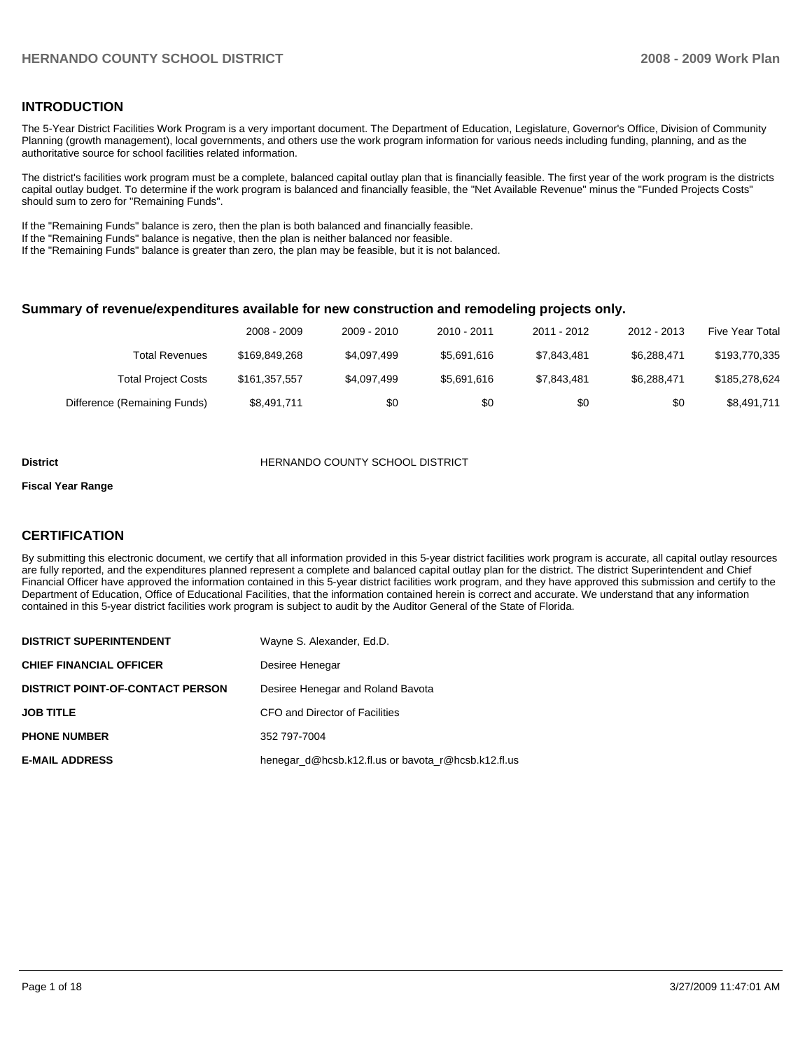### **INTRODUCTION**

The 5-Year District Facilities Work Program is a very important document. The Department of Education, Legislature, Governor's Office, Division of Community Planning (growth management), local governments, and others use the work program information for various needs including funding, planning, and as the authoritative source for school facilities related information.

The district's facilities work program must be a complete, balanced capital outlay plan that is financially feasible. The first year of the work program is the districts capital outlay budget. To determine if the work program is balanced and financially feasible, the "Net Available Revenue" minus the "Funded Projects Costs" should sum to zero for "Remaining Funds".

If the "Remaining Funds" balance is zero, then the plan is both balanced and financially feasible.

If the "Remaining Funds" balance is negative, then the plan is neither balanced nor feasible.

If the "Remaining Funds" balance is greater than zero, the plan may be feasible, but it is not balanced.

### **Summary of revenue/expenditures available for new construction and remodeling projects only.**

|                              | 2008 - 2009   | 2009 - 2010 | 2010 - 2011 | 2011 - 2012 | 2012 - 2013 | <b>Five Year Total</b> |
|------------------------------|---------------|-------------|-------------|-------------|-------------|------------------------|
| Total Revenues               | \$169.849.268 | \$4.097.499 | \$5.691.616 | \$7.843.481 | \$6.288.471 | \$193,770,335          |
| <b>Total Project Costs</b>   | \$161.357.557 | \$4,097,499 | \$5.691.616 | \$7.843.481 | \$6.288.471 | \$185,278,624          |
| Difference (Remaining Funds) | \$8,491,711   | \$0         | \$0         | \$0         | \$0         | \$8,491,711            |

#### **District COUNTY SCHOOL DISTRICT**

### **Fiscal Year Range**

### **CERTIFICATION**

By submitting this electronic document, we certify that all information provided in this 5-year district facilities work program is accurate, all capital outlay resources are fully reported, and the expenditures planned represent a complete and balanced capital outlay plan for the district. The district Superintendent and Chief Financial Officer have approved the information contained in this 5-year district facilities work program, and they have approved this submission and certify to the Department of Education, Office of Educational Facilities, that the information contained herein is correct and accurate. We understand that any information contained in this 5-year district facilities work program is subject to audit by the Auditor General of the State of Florida.

| <b>DISTRICT SUPERINTENDENT</b>          | Wayne S. Alexander, Ed.D.                           |
|-----------------------------------------|-----------------------------------------------------|
| <b>CHIEF FINANCIAL OFFICER</b>          | Desiree Henegar                                     |
| <b>DISTRICT POINT-OF-CONTACT PERSON</b> | Desiree Henegar and Roland Bavota                   |
| <b>JOB TITLE</b>                        | CFO and Director of Facilities                      |
| <b>PHONE NUMBER</b>                     | 352 797-7004                                        |
| <b>E-MAIL ADDRESS</b>                   | henegar d@hcsb.k12.fl.us or bayota r@hcsb.k12.fl.us |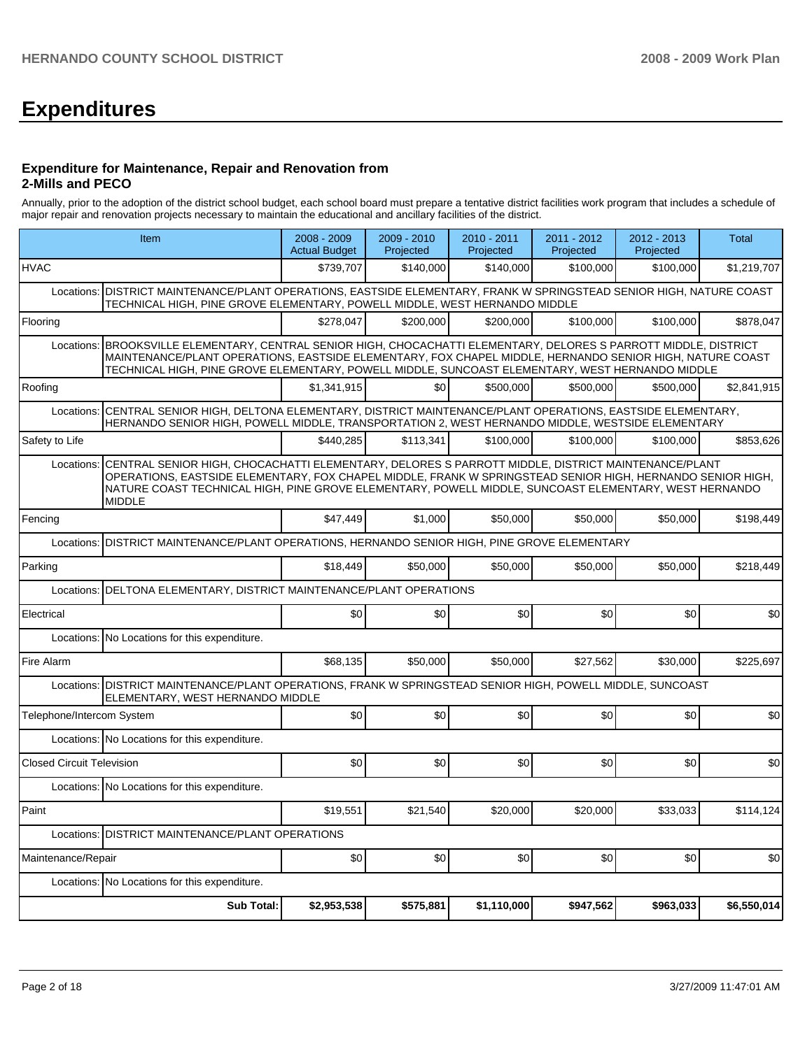# **Expenditures**

### **Expenditure for Maintenance, Repair and Renovation from 2-Mills and PECO**

Annually, prior to the adoption of the district school budget, each school board must prepare a tentative district facilities work program that includes a schedule of major repair and renovation projects necessary to maintain the educational and ancillary facilities of the district.

|                                  | Item                                                                                                                                                                                                                                                                                                                                                    | 2008 - 2009<br><b>Actual Budget</b> | $2009 - 2010$<br>Projected | 2010 - 2011<br>Projected | 2011 - 2012<br>Projected | $2012 - 2013$<br>Projected | <b>Total</b> |  |
|----------------------------------|---------------------------------------------------------------------------------------------------------------------------------------------------------------------------------------------------------------------------------------------------------------------------------------------------------------------------------------------------------|-------------------------------------|----------------------------|--------------------------|--------------------------|----------------------------|--------------|--|
| <b>HVAC</b>                      |                                                                                                                                                                                                                                                                                                                                                         | \$739.707                           | \$140.000                  | \$140.000                | \$100.000                | \$100.000                  | \$1,219,707  |  |
| Locations:                       | DISTRICT MAINTENANCE/PLANT OPERATIONS, EASTSIDE ELEMENTARY, FRANK W SPRINGSTEAD SENIOR HIGH, NATURE COAST<br>TECHNICAL HIGH, PINE GROVE ELEMENTARY, POWELL MIDDLE, WEST HERNANDO MIDDLE                                                                                                                                                                 |                                     |                            |                          |                          |                            |              |  |
| Flooring                         |                                                                                                                                                                                                                                                                                                                                                         | \$278,047                           | \$200,000                  | \$200,000                | \$100,000                | \$100,000                  | \$878,047    |  |
| Locations:                       | BROOKSVILLE ELEMENTARY, CENTRAL SENIOR HIGH, CHOCACHATTI ELEMENTARY, DELORES S PARROTT MIDDLE, DISTRICT<br>MAINTENANCE/PLANT OPERATIONS, EASTSIDE ELEMENTARY, FOX CHAPEL MIDDLE, HERNANDO SENIOR HIGH, NATURE COAST<br>TECHNICAL HIGH, PINE GROVE ELEMENTARY, POWELL MIDDLE, SUNCOAST ELEMENTARY, WEST HERNANDO MIDDLE                                  |                                     |                            |                          |                          |                            |              |  |
| Roofing                          |                                                                                                                                                                                                                                                                                                                                                         | \$1,341,915                         | \$0                        | \$500,000                | \$500,000                | \$500,000                  | \$2,841,915  |  |
| Locations:                       | CENTRAL SENIOR HIGH, DELTONA ELEMENTARY, DISTRICT MAINTENANCE/PLANT OPERATIONS, EASTSIDE ELEMENTARY,<br>HERNANDO SENIOR HIGH, POWELL MIDDLE, TRANSPORTATION 2, WEST HERNANDO MIDDLE, WESTSIDE ELEMENTARY                                                                                                                                                |                                     |                            |                          |                          |                            |              |  |
| Safety to Life                   |                                                                                                                                                                                                                                                                                                                                                         | \$440.285                           | \$113.341                  | \$100.000                | \$100,000                | \$100,000                  | \$853.626    |  |
|                                  | CENTRAL SENIOR HIGH, CHOCACHATTI ELEMENTARY, DELORES S PARROTT MIDDLE, DISTRICT MAINTENANCE/PLANT<br>Locations:<br>OPERATIONS, EASTSIDE ELEMENTARY, FOX CHAPEL MIDDLE, FRANK W SPRINGSTEAD SENIOR HIGH, HERNANDO SENIOR HIGH,<br>NATURE COAST TECHNICAL HIGH, PINE GROVE ELEMENTARY, POWELL MIDDLE, SUNCOAST ELEMENTARY, WEST HERNANDO<br><b>MIDDLE</b> |                                     |                            |                          |                          |                            |              |  |
| Fencing                          |                                                                                                                                                                                                                                                                                                                                                         | \$47,449                            | \$1,000                    | \$50,000                 | \$50,000                 | \$50,000                   | \$198,449    |  |
| Locations:                       | DISTRICT MAINTENANCE/PLANT OPERATIONS, HERNANDO SENIOR HIGH, PINE GROVE ELEMENTARY                                                                                                                                                                                                                                                                      |                                     |                            |                          |                          |                            |              |  |
| Parking                          |                                                                                                                                                                                                                                                                                                                                                         | \$18,449                            | \$50.000                   | \$50,000                 | \$50,000                 | \$50.000                   | \$218,449    |  |
|                                  | Locations: DELTONA ELEMENTARY, DISTRICT MAINTENANCE/PLANT OPERATIONS                                                                                                                                                                                                                                                                                    |                                     |                            |                          |                          |                            |              |  |
| Electrical                       |                                                                                                                                                                                                                                                                                                                                                         | \$0                                 | \$0                        | \$0                      | \$0                      | \$0                        | \$0          |  |
| Locations:                       | No Locations for this expenditure.                                                                                                                                                                                                                                                                                                                      |                                     |                            |                          |                          |                            |              |  |
| Fire Alarm                       |                                                                                                                                                                                                                                                                                                                                                         | \$68.135                            | \$50,000                   | \$50,000                 | \$27,562                 | \$30.000                   | \$225.697    |  |
| Locations:                       | DISTRICT MAINTENANCE/PLANT OPERATIONS, FRANK W SPRINGSTEAD SENIOR HIGH, POWELL MIDDLE, SUNCOAST<br>ELEMENTARY, WEST HERNANDO MIDDLE                                                                                                                                                                                                                     |                                     |                            |                          |                          |                            |              |  |
| Telephone/Intercom System        |                                                                                                                                                                                                                                                                                                                                                         | \$0                                 | \$0                        | \$0                      | \$0                      | \$0                        | \$0          |  |
|                                  | Locations: No Locations for this expenditure.                                                                                                                                                                                                                                                                                                           |                                     |                            |                          |                          |                            |              |  |
| <b>Closed Circuit Television</b> |                                                                                                                                                                                                                                                                                                                                                         | \$0                                 | \$0                        | \$0                      | \$0                      | \$0                        | \$0          |  |
| Locations:                       | No Locations for this expenditure.                                                                                                                                                                                                                                                                                                                      |                                     |                            |                          |                          |                            |              |  |
| Paint                            |                                                                                                                                                                                                                                                                                                                                                         | \$19.551                            | \$21.540                   | \$20,000                 | \$20,000                 | \$33,033                   | \$114,124    |  |
| Locations:                       | <b>DISTRICT MAINTENANCE/PLANT OPERATIONS</b>                                                                                                                                                                                                                                                                                                            |                                     |                            |                          |                          |                            |              |  |
| Maintenance/Repair               |                                                                                                                                                                                                                                                                                                                                                         | \$0                                 | \$0                        | \$0                      | \$0                      | \$0                        | \$0          |  |
| Locations:                       | No Locations for this expenditure.                                                                                                                                                                                                                                                                                                                      |                                     |                            |                          |                          |                            |              |  |
|                                  | <b>Sub Total:</b>                                                                                                                                                                                                                                                                                                                                       | \$2,953,538                         | \$575,881                  | \$1,110,000              | \$947,562                | \$963,033                  | \$6,550,014  |  |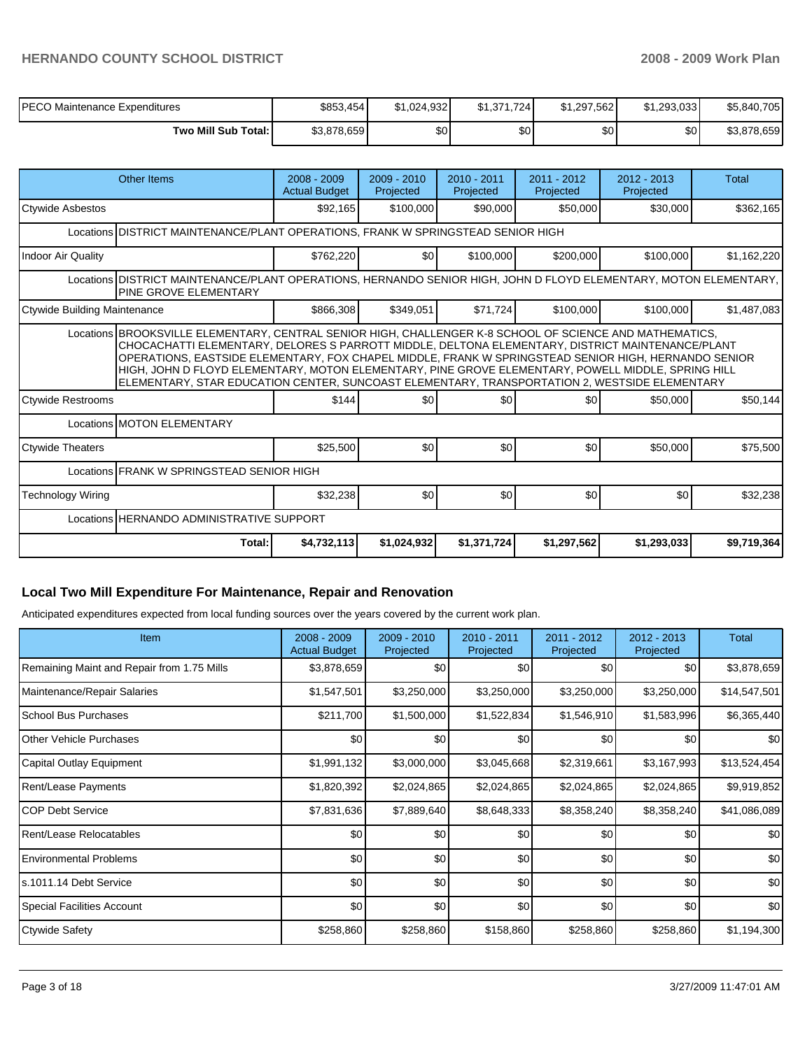| IPECO Maintenance Expenditures | \$853,454   | \$1.024.932 | \$1,371,724      | \$1,297,562 | \$1.293.033 | \$5,840,705 |
|--------------------------------|-------------|-------------|------------------|-------------|-------------|-------------|
| Two Mill Sub Total: I          | \$3,878,659 | \$0         | \$0 <sub>1</sub> | \$0         | \$٥١        | \$3,878,659 |

| <b>Other Items</b>                                                                                                                                | $2008 - 2009$<br><b>Actual Budget</b>                                                                                                                                                                                                                                                                                                                                                                                                                                                                                       | $2009 - 2010$<br>Projected | $2010 - 2011$<br>Projected | $2011 - 2012$<br>Projected | $2012 - 2013$<br>Projected | <b>Total</b> |  |  |  |  |
|---------------------------------------------------------------------------------------------------------------------------------------------------|-----------------------------------------------------------------------------------------------------------------------------------------------------------------------------------------------------------------------------------------------------------------------------------------------------------------------------------------------------------------------------------------------------------------------------------------------------------------------------------------------------------------------------|----------------------------|----------------------------|----------------------------|----------------------------|--------------|--|--|--|--|
| <b>Ctywide Asbestos</b>                                                                                                                           | \$92,165                                                                                                                                                                                                                                                                                                                                                                                                                                                                                                                    | \$100,000                  | \$90,000                   | \$50,000                   | \$30,000                   | \$362,165    |  |  |  |  |
|                                                                                                                                                   | Locations IDISTRICT MAINTENANCE/PLANT OPERATIONS. FRANK W SPRINGSTEAD SENIOR HIGH                                                                                                                                                                                                                                                                                                                                                                                                                                           |                            |                            |                            |                            |              |  |  |  |  |
| <b>Indoor Air Quality</b>                                                                                                                         | \$762,220                                                                                                                                                                                                                                                                                                                                                                                                                                                                                                                   | \$0                        | \$100,000                  | \$200,000                  | \$100,000                  | \$1,162,220  |  |  |  |  |
| Locations DISTRICT MAINTENANCE/PLANT OPERATIONS, HERNANDO SENIOR HIGH, JOHN D FLOYD ELEMENTARY, MOTON ELEMENTARY,<br><b>PINE GROVE ELEMENTARY</b> |                                                                                                                                                                                                                                                                                                                                                                                                                                                                                                                             |                            |                            |                            |                            |              |  |  |  |  |
| Ctywide Building Maintenance                                                                                                                      | \$866,308                                                                                                                                                                                                                                                                                                                                                                                                                                                                                                                   | \$349,051                  | \$71.724                   | \$100,000                  | \$100,000                  | \$1,487,083  |  |  |  |  |
|                                                                                                                                                   | Locations BROOKSVILLE ELEMENTARY, CENTRAL SENIOR HIGH, CHALLENGER K-8 SCHOOL OF SCIENCE AND MATHEMATICS,<br>CHOCACHATTI ELEMENTARY, DELORES S PARROTT MIDDLE, DELTONA ELEMENTARY, DISTRICT MAINTENANCE/PLANT<br>OPERATIONS, EASTSIDE ELEMENTARY, FOX CHAPEL MIDDLE, FRANK W SPRINGSTEAD SENIOR HIGH, HERNANDO SENIOR<br>HIGH, JOHN D FLOYD ELEMENTARY, MOTON ELEMENTARY, PINE GROVE ELEMENTARY, POWELL MIDDLE, SPRING HILL<br>ELEMENTARY, STAR EDUCATION CENTER, SUNCOAST ELEMENTARY, TRANSPORTATION 2, WESTSIDE ELEMENTARY |                            |                            |                            |                            |              |  |  |  |  |
| <b>Ctywide Restrooms</b>                                                                                                                          | \$144                                                                                                                                                                                                                                                                                                                                                                                                                                                                                                                       | \$0                        | \$0                        | \$0                        | \$50,000                   | \$50,144     |  |  |  |  |
| Locations MOTON ELEMENTARY                                                                                                                        |                                                                                                                                                                                                                                                                                                                                                                                                                                                                                                                             |                            |                            |                            |                            |              |  |  |  |  |
| Ctywide Theaters                                                                                                                                  | \$25,500                                                                                                                                                                                                                                                                                                                                                                                                                                                                                                                    | \$0                        | \$0                        | \$0                        | \$50,000                   | \$75,500     |  |  |  |  |
| Locations FRANK W SPRINGSTEAD SENIOR HIGH                                                                                                         |                                                                                                                                                                                                                                                                                                                                                                                                                                                                                                                             |                            |                            |                            |                            |              |  |  |  |  |
| <b>Technology Wiring</b>                                                                                                                          | \$32,238                                                                                                                                                                                                                                                                                                                                                                                                                                                                                                                    | \$0                        | \$0                        | \$0                        | \$0                        | \$32,238     |  |  |  |  |
| Locations HERNANDO ADMINISTRATIVE SUPPORT                                                                                                         |                                                                                                                                                                                                                                                                                                                                                                                                                                                                                                                             |                            |                            |                            |                            |              |  |  |  |  |
| Total:                                                                                                                                            | \$4,732,113                                                                                                                                                                                                                                                                                                                                                                                                                                                                                                                 | \$1,024,932                | \$1,371,724                | \$1,297,562                | \$1,293,033                | \$9,719,364  |  |  |  |  |

### **Local Two Mill Expenditure For Maintenance, Repair and Renovation**

Anticipated expenditures expected from local funding sources over the years covered by the current work plan.

| Item                                       | $2008 - 2009$<br><b>Actual Budget</b> | $2009 - 2010$<br>Projected | 2010 - 2011<br>Projected | $2011 - 2012$<br>Projected | $2012 - 2013$<br>Projected | Total        |
|--------------------------------------------|---------------------------------------|----------------------------|--------------------------|----------------------------|----------------------------|--------------|
| Remaining Maint and Repair from 1.75 Mills | \$3,878,659                           | \$0                        | \$0                      | \$0                        | \$0                        | \$3,878,659  |
| Maintenance/Repair Salaries                | \$1,547,501                           | \$3,250,000                | \$3,250,000              | \$3,250,000                | \$3,250,000                | \$14,547,501 |
| School Bus Purchases                       | \$211,700                             | \$1,500,000                | \$1,522,834              | \$1,546,910                | \$1,583,996                | \$6,365,440  |
| <b>IOther Vehicle Purchases</b>            | \$0 <sub>1</sub>                      | \$0                        | \$0                      | \$0                        | \$0                        | \$0          |
| Capital Outlay Equipment                   | \$1,991,132                           | \$3,000,000                | \$3,045,668              | \$2,319,661                | \$3,167,993                | \$13,524,454 |
| Rent/Lease Payments                        | \$1,820,392                           | \$2,024,865                | \$2,024,865              | \$2,024,865                | \$2,024,865                | \$9,919,852  |
| ICOP Debt Service                          | \$7,831,636                           | \$7,889,640                | \$8,648,333              | \$8,358,240                | \$8,358,240                | \$41,086,089 |
| Rent/Lease Relocatables                    | \$0                                   | \$0                        | \$0                      | \$0                        | \$0                        | \$0          |
| Environmental Problems                     | \$0                                   | \$0                        | \$0                      | \$0                        | \$0                        | \$0          |
| s.1011.14 Debt Service                     | \$0                                   | \$0                        | \$0                      | \$0                        | \$0                        | \$0          |
| <b>Special Facilities Account</b>          | \$0                                   | \$0                        | \$0                      | \$0                        | \$0                        | \$0          |
| <b>Ctywide Safety</b>                      | \$258,860                             | \$258,860                  | \$158,860                | \$258,860                  | \$258,860                  | \$1,194,300  |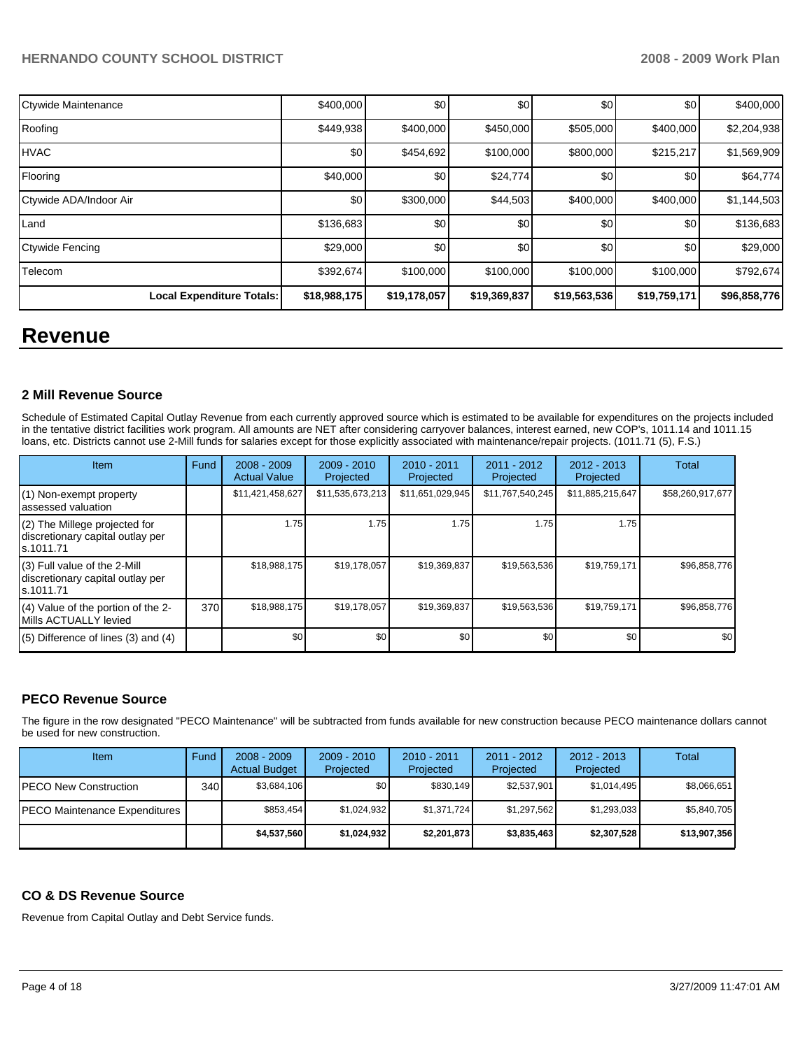| Ctywide Maintenance              | \$400,000        | \$0          | \$0          | \$0          | \$0          | \$400,000    |
|----------------------------------|------------------|--------------|--------------|--------------|--------------|--------------|
| Roofing                          | \$449,938        | \$400,000    | \$450,000    | \$505,000    | \$400,000    | \$2,204,938  |
| <b>HVAC</b>                      | \$0 <sub>1</sub> | \$454,692    | \$100,000    | \$800,000    | \$215,217    | \$1,569,909  |
| Flooring                         | \$40,000         | \$0          | \$24,774     | \$0          | \$0          | \$64,774     |
| Ctywide ADA/Indoor Air           | \$0              | \$300,000    | \$44,503     | \$400,000    | \$400,000    | \$1,144,503  |
| Land                             | \$136,683        | \$0          | \$0          | \$0          | \$0          | \$136,683    |
| Ctywide Fencing                  | \$29,000         | \$0          | \$0          | \$0          | \$0          | \$29,000     |
| Telecom                          | \$392,674        | \$100,000    | \$100,000    | \$100,000    | \$100,000    | \$792,674    |
| <b>Local Expenditure Totals:</b> | \$18,988,175     | \$19,178,057 | \$19,369,837 | \$19,563,536 | \$19,759,171 | \$96,858,776 |

# **Revenue**

### **2 Mill Revenue Source**

Schedule of Estimated Capital Outlay Revenue from each currently approved source which is estimated to be available for expenditures on the projects included in the tentative district facilities work program. All amounts are NET after considering carryover balances, interest earned, new COP's, 1011.14 and 1011.15 loans, etc. Districts cannot use 2-Mill funds for salaries except for those explicitly associated with maintenance/repair projects. (1011.71 (5), F.S.)

| Item                                                                            | Fund | $2008 - 2009$<br><b>Actual Value</b> | $2009 - 2010$<br>Projected | $2010 - 2011$<br>Projected | $2011 - 2012$<br>Projected | $2012 - 2013$<br>Projected | Total            |
|---------------------------------------------------------------------------------|------|--------------------------------------|----------------------------|----------------------------|----------------------------|----------------------------|------------------|
| (1) Non-exempt property<br>assessed valuation                                   |      | \$11,421,458,627                     | \$11,535,673,213           | \$11,651,029,945           | \$11,767,540,245           | \$11,885,215,647           | \$58,260,917,677 |
| (2) The Millege projected for<br>discretionary capital outlay per<br>ls.1011.71 |      | 1.75                                 | 1.75                       | 1.75                       | 1.75                       | 1.75                       |                  |
| (3) Full value of the 2-Mill<br>discretionary capital outlay per<br>ls.1011.71  |      | \$18,988,175                         | \$19,178,057               | \$19,369,837               | \$19,563,536               | \$19,759,171               | \$96,858,776     |
| (4) Value of the portion of the 2-<br>Mills ACTUALLY levied                     | 370  | \$18,988,175                         | \$19,178,057               | \$19,369,837               | \$19,563,536               | \$19,759,171               | \$96,858,776     |
| $(5)$ Difference of lines (3) and (4)                                           |      | \$0                                  | \$0                        | \$0                        | \$0                        | \$0                        | \$0              |

### **PECO Revenue Source**

The figure in the row designated "PECO Maintenance" will be subtracted from funds available for new construction because PECO maintenance dollars cannot be used for new construction.

| Item                                  | Fund | $2008 - 2009$<br><b>Actual Budget</b> | $2009 - 2010$<br>Projected | $2010 - 2011$<br>Projected | $2011 - 2012$<br>Projected | $2012 - 2013$<br>Projected | Total        |
|---------------------------------------|------|---------------------------------------|----------------------------|----------------------------|----------------------------|----------------------------|--------------|
| <b>IPECO New Construction</b>         | 340  | \$3,684,106                           | \$0                        | \$830.149                  | \$2,537,901                | \$1,014,495                | \$8,066,651  |
| <b>IPECO Maintenance Expenditures</b> |      | \$853,454                             | \$1,024,932                | \$1,371,724                | \$1,297,562                | \$1,293,033                | \$5,840,705  |
|                                       |      | \$4,537,560                           | \$1,024,932                | \$2,201,873                | \$3,835,463                | \$2,307,528                | \$13,907,356 |

### **CO & DS Revenue Source**

Revenue from Capital Outlay and Debt Service funds.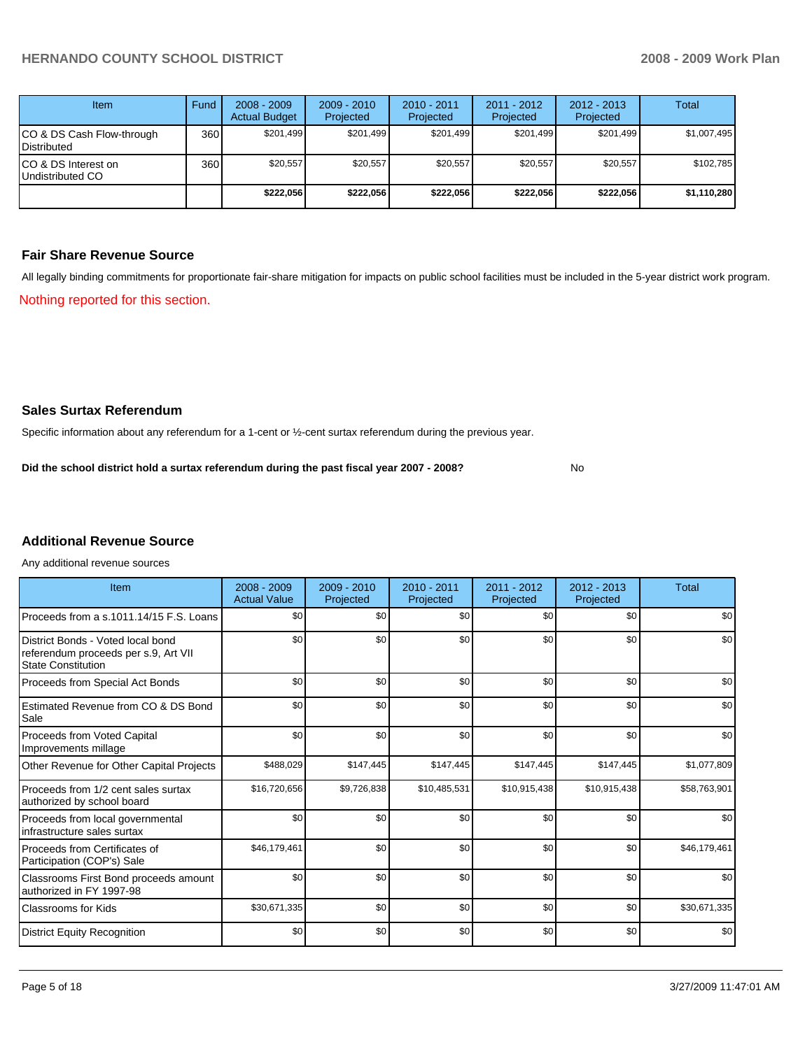| <b>Item</b>                                     | Fund  | $2008 - 2009$<br><b>Actual Budget</b> | $2009 - 2010$<br>Projected | $2010 - 2011$<br>Projected | $2011 - 2012$<br>Projected | $2012 - 2013$<br>Projected | <b>Total</b> |
|-------------------------------------------------|-------|---------------------------------------|----------------------------|----------------------------|----------------------------|----------------------------|--------------|
| CO & DS Cash Flow-through<br><b>Distributed</b> | 360 l | \$201.499                             | \$201.499                  | \$201.499                  | \$201.499                  | \$201.499                  | \$1,007,495  |
| CO & DS Interest on<br>Undistributed CO         | 360   | \$20.557                              | \$20,557                   | \$20,557                   | \$20,557                   | \$20.557                   | \$102,785    |
|                                                 |       | \$222.056                             | \$222.056                  | \$222.056                  | \$222.056                  | \$222.056                  | \$1,110,280  |

## **Fair Share Revenue Source**

All legally binding commitments for proportionate fair-share mitigation for impacts on public school facilities must be included in the 5-year district work program. Nothing reported for this section.

### **Sales Surtax Referendum**

Specific information about any referendum for a 1-cent or ½-cent surtax referendum during the previous year.

**Did the school district hold a surtax referendum during the past fiscal year 2007 - 2008?** No

## **Additional Revenue Source**

Any additional revenue sources

| Item                                                                                                   | $2008 - 2009$<br><b>Actual Value</b> | $2009 - 2010$<br>Projected | $2010 - 2011$<br>Projected | 2011 - 2012<br>Projected | $2012 - 2013$<br>Projected | <b>Total</b> |
|--------------------------------------------------------------------------------------------------------|--------------------------------------|----------------------------|----------------------------|--------------------------|----------------------------|--------------|
| Proceeds from a s.1011.14/15 F.S. Loans                                                                | \$0                                  | \$0                        | \$0                        | \$0                      | \$0                        | \$0          |
| District Bonds - Voted local bond<br>referendum proceeds per s.9, Art VII<br><b>State Constitution</b> | \$0                                  | \$0                        | \$0                        | \$0                      | \$0                        | \$0          |
| Proceeds from Special Act Bonds                                                                        | \$0                                  | \$0                        | \$0                        | \$0                      | \$0                        | \$0          |
| Estimated Revenue from CO & DS Bond<br>Sale                                                            | \$0                                  | \$0                        | \$0                        | \$0                      | \$0                        | \$0          |
| Proceeds from Voted Capital<br>Improvements millage                                                    | \$0                                  | \$0                        | \$0                        | \$0                      | \$0                        | \$0          |
| Other Revenue for Other Capital Projects                                                               | \$488,029                            | \$147,445                  | \$147,445                  | \$147,445                | \$147,445                  | \$1,077,809  |
| Proceeds from 1/2 cent sales surtax<br>authorized by school board                                      | \$16,720,656                         | \$9,726,838                | \$10,485,531               | \$10,915,438             | \$10,915,438               | \$58,763,901 |
| Proceeds from local governmental<br>infrastructure sales surtax                                        | \$0                                  | \$0                        | \$0                        | \$0                      | \$0                        | \$0          |
| Proceeds from Certificates of<br>Participation (COP's) Sale                                            | \$46,179,461                         | \$0                        | \$0                        | \$0                      | \$0                        | \$46,179,461 |
| Classrooms First Bond proceeds amount<br>authorized in FY 1997-98                                      | \$0                                  | \$0                        | \$0                        | \$0                      | \$0                        | \$0          |
| <b>Classrooms for Kids</b>                                                                             | \$30,671,335                         | \$0                        | \$0                        | \$0                      | \$0                        | \$30,671,335 |
| <b>District Equity Recognition</b>                                                                     | \$0                                  | \$0                        | \$0                        | \$0                      | \$0                        | \$0          |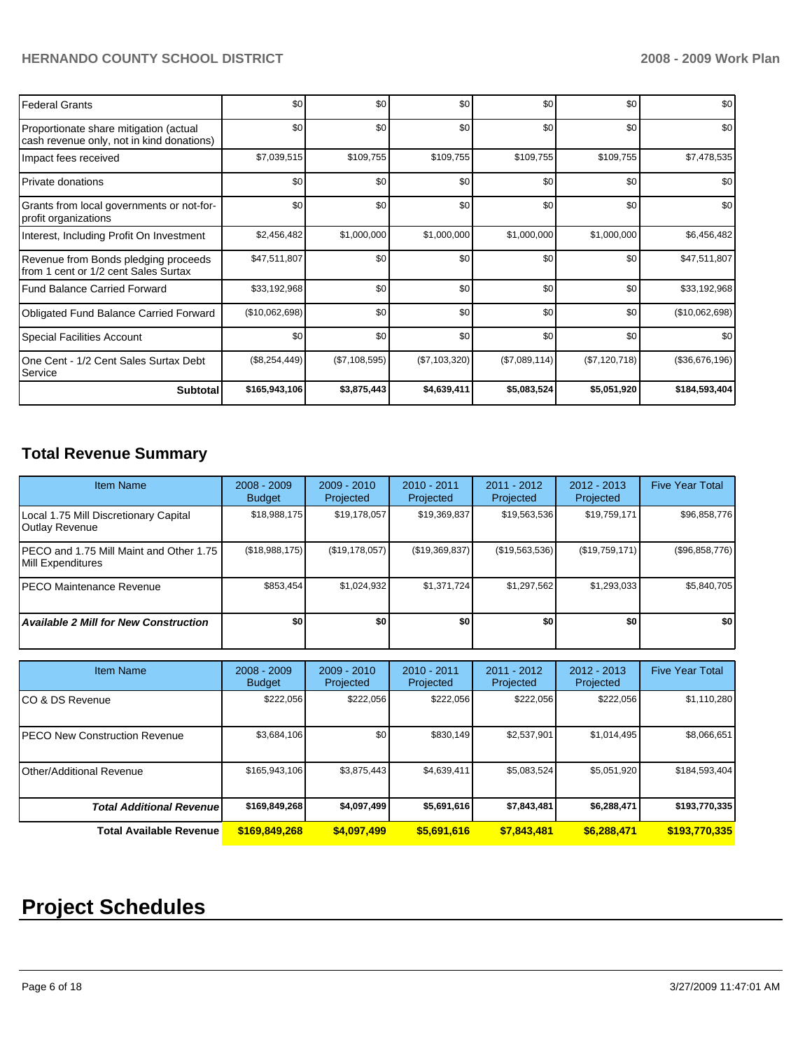| <b>Federal Grants</b>                                                               | \$0            | \$0 <sub>1</sub>  | \$0           | \$0           | \$0           | \$0            |
|-------------------------------------------------------------------------------------|----------------|-------------------|---------------|---------------|---------------|----------------|
| Proportionate share mitigation (actual<br>cash revenue only, not in kind donations) | \$0            | \$0 <sub>1</sub>  | \$0           | \$0           | \$0           | \$0            |
| Impact fees received                                                                | \$7,039,515    | \$109,755         | \$109,755     | \$109,755     | \$109,755     | \$7,478,535    |
| <b>Private donations</b>                                                            | \$0            | \$0               | \$0           | \$0           | \$0           | \$0            |
| Grants from local governments or not-for-<br>profit organizations                   | \$0            | \$0 <sub>1</sub>  | \$0           | \$0           | \$0           | \$0            |
| Interest, Including Profit On Investment                                            | \$2,456,482    | \$1,000,000       | \$1,000,000   | \$1,000,000   | \$1,000,000   | \$6,456,482    |
| Revenue from Bonds pledging proceeds<br>from 1 cent or 1/2 cent Sales Surtax        | \$47,511,807   | \$0               | \$0           | \$0           | \$0           | \$47,511,807   |
| <b>Fund Balance Carried Forward</b>                                                 | \$33,192,968   | \$0 <sub>1</sub>  | \$0           | \$0           | \$0           | \$33,192,968   |
| <b>Obligated Fund Balance Carried Forward</b>                                       | (\$10,062,698) | \$0               | \$0           | \$0           | \$0           | (\$10,062,698) |
| <b>Special Facilities Account</b>                                                   | \$0            | \$0 <sub>1</sub>  | \$0           | \$0           | \$0           | \$0            |
| One Cent - 1/2 Cent Sales Surtax Debt<br>Service                                    | (\$8,254,449)  | $(\$7, 108, 595)$ | (\$7,103,320) | (\$7,089,114) | (\$7,120,718) | (\$36,676,196) |
| <b>Subtotal</b>                                                                     | \$165,943,106  | \$3,875,443       | \$4,639,411   | \$5,083,524   | \$5,051,920   | \$184,593,404  |

# **Total Revenue Summary**

| <b>Item Name</b>                                                | $2008 - 2009$<br><b>Budget</b> | $2009 - 2010$<br>Projected | $2010 - 2011$<br>Projected | $2011 - 2012$<br>Projected | $2012 - 2013$<br>Projected | <b>Five Year Total</b> |
|-----------------------------------------------------------------|--------------------------------|----------------------------|----------------------------|----------------------------|----------------------------|------------------------|
| Local 1.75 Mill Discretionary Capital<br>Outlay Revenue         | \$18,988,175                   | \$19,178,057               | \$19,369,837               | \$19,563,536               | \$19,759,171               | \$96,858,776           |
| IPECO and 1.75 Mill Maint and Other 1.75 I<br>Mill Expenditures | (\$18,988,175)                 | $($ \$19,178,057) $ $      | (\$19,369,837)             | (S19, 563, 536)            | (S19,759,171)              | (\$96,858,776)         |
| <b>IPECO Maintenance Revenue</b>                                | \$853.454                      | \$1,024,932                | \$1,371,724                | \$1,297,562                | \$1,293,033                | \$5,840,705            |
| <b>Available 2 Mill for New Construction</b>                    | \$O                            | \$0                        | \$0                        | \$0                        | \$0                        | \$0                    |

| <b>Item Name</b>                      | $2008 - 2009$<br><b>Budget</b> | $2009 - 2010$<br>Projected | $2010 - 2011$<br>Projected | 2011 - 2012<br>Projected | $2012 - 2013$<br>Projected | <b>Five Year Total</b> |
|---------------------------------------|--------------------------------|----------------------------|----------------------------|--------------------------|----------------------------|------------------------|
| ICO & DS Revenue                      | \$222,056                      | \$222,056                  | \$222,056                  | \$222,056                | \$222,056                  | \$1,110,280            |
| <b>IPECO New Construction Revenue</b> | \$3,684,106                    | \$0                        | \$830.149                  | \$2,537,901              | \$1,014,495                | \$8,066,651            |
| <b>Other/Additional Revenue</b>       | \$165,943,106                  | \$3,875,443                | \$4,639,411                | \$5,083,524              | \$5,051,920                | \$184,593,404          |
| <b>Total Additional Revenue</b>       | \$169,849,268                  | \$4,097,499                | \$5,691,616                | \$7,843,481              | \$6,288,471                | \$193,770,335          |
| <b>Total Available Revenue</b>        | \$169,849,268                  | \$4,097,499                | \$5,691,616                | \$7,843,481              | \$6,288,471                | \$193,770,335          |

# **Project Schedules**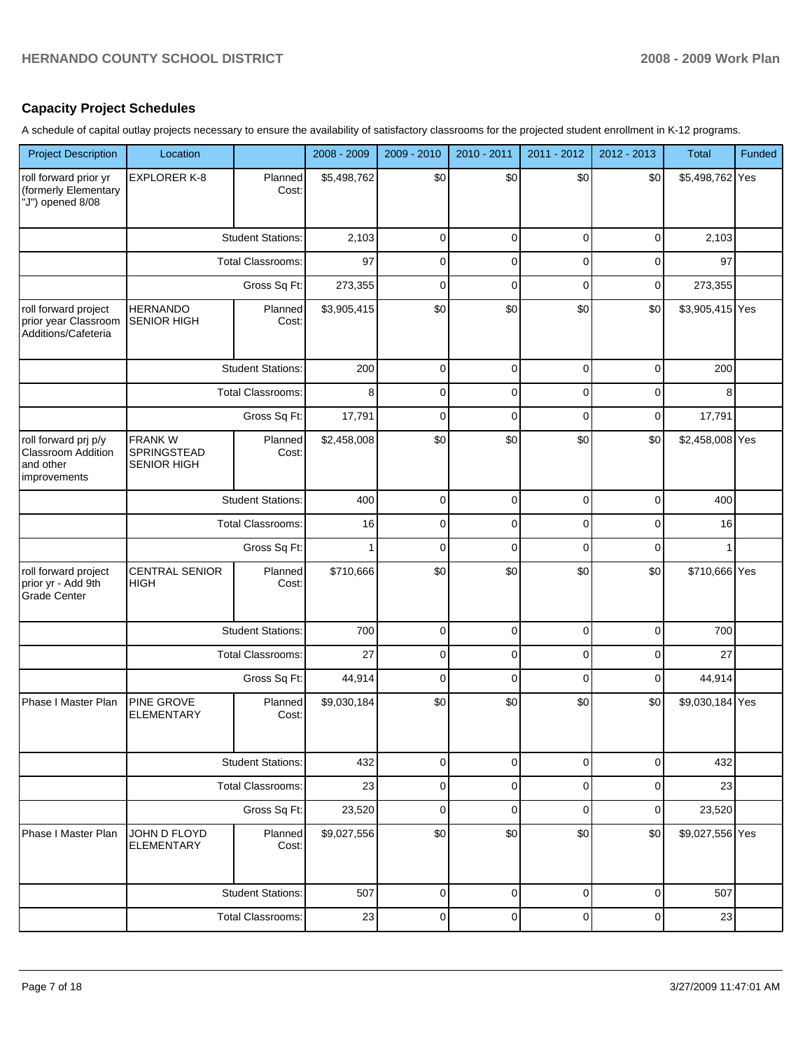## **Capacity Project Schedules**

A schedule of capital outlay projects necessary to ensure the availability of satisfactory classrooms for the projected student enrollment in K-12 programs.

| <b>Project Description</b>                                                     | Location                                           |                          | 2008 - 2009  | 2009 - 2010  | 2010 - 2011 | 2011 - 2012 | 2012 - 2013 | <b>Total</b>    | Funded |
|--------------------------------------------------------------------------------|----------------------------------------------------|--------------------------|--------------|--------------|-------------|-------------|-------------|-----------------|--------|
| roll forward prior yr<br>(formerly Elementary<br>"J") opened 8/08              | <b>EXPLORER K-8</b>                                | Planned<br>Cost:         | \$5,498,762  | \$0          | \$0         | \$0         | \$0         | \$5,498,762 Yes |        |
|                                                                                |                                                    | <b>Student Stations:</b> | 2,103        | $\mathbf 0$  | $\mathbf 0$ | 0           | 0           | 2,103           |        |
|                                                                                | <b>Total Classrooms:</b>                           |                          | 97           | 0            | 0           | 0           | 0           | 97              |        |
|                                                                                |                                                    | Gross Sq Ft:             | 273,355      | $\mathbf 0$  | $\mathbf 0$ | $\mathbf 0$ | 0           | 273,355         |        |
| roll forward project<br>prior year Classroom<br>Additions/Cafeteria            | <b>HERNANDO</b><br><b>SENIOR HIGH</b>              | Planned<br>Cost:         | \$3,905,415  | \$0          | \$0         | \$0         | \$0         | \$3,905,415 Yes |        |
|                                                                                |                                                    | <b>Student Stations:</b> | 200          | 0            | 0           | 0           | 0           | 200             |        |
|                                                                                |                                                    | <b>Total Classrooms:</b> | 8            | 0            | 0           | 0           | 0           | 8               |        |
|                                                                                |                                                    | Gross Sq Ft:             | 17,791       | 0            | 0           | 0           | 0           | 17,791          |        |
| roll forward prj p/y<br><b>Classroom Addition</b><br>and other<br>improvements | <b>FRANKW</b><br>SPRINGSTEAD<br><b>SENIOR HIGH</b> | Planned<br>Cost:         | \$2,458,008  | \$0          | \$0         | \$0         | \$0         | \$2,458,008 Yes |        |
|                                                                                |                                                    | <b>Student Stations:</b> |              | $\mathbf 0$  | $\mathbf 0$ | $\mathbf 0$ | $\mathbf 0$ | 400             |        |
|                                                                                |                                                    | <b>Total Classrooms:</b> | 16           | 0            | 0           | $\mathbf 0$ | 0           | 16              |        |
|                                                                                |                                                    | Gross Sq Ft:             | $\mathbf{1}$ | 0            | $\mathbf 0$ | 0           | 0           | 1               |        |
| roll forward project<br>prior yr - Add 9th<br><b>Grade Center</b>              | <b>CENTRAL SENIOR</b><br><b>HIGH</b>               | Planned<br>Cost:         | \$710,666    | \$0          | \$0         | \$0         | \$0         | \$710,666 Yes   |        |
|                                                                                |                                                    | <b>Student Stations:</b> | 700          | 0            | 0           | 0           | 0           | 700             |        |
|                                                                                |                                                    | <b>Total Classrooms:</b> | 27           | 0            | 0           | 0           | 0           | 27              |        |
|                                                                                |                                                    | Gross Sq Ft:             | 44,914       | 0            | 0           | 0           | 0           | 44,914          |        |
| Phase I Master Plan                                                            | PINE GROVE<br><b>ELEMENTARY</b>                    | Planned<br>Cost:         | \$9,030,184  | \$0          | \$0         | \$0         | \$0         | \$9,030,184 Yes |        |
|                                                                                |                                                    | <b>Student Stations:</b> | 432          | $\mathbf{O}$ | 0           | 0           | 0           | 432             |        |
|                                                                                |                                                    | <b>Total Classrooms:</b> | 23           | $\pmb{0}$    | $\pmb{0}$   | 0           | 0           | 23              |        |
|                                                                                |                                                    | Gross Sq Ft:             | 23,520       | $\mathbf 0$  | $\mathbf 0$ | 0           | 0           | 23,520          |        |
| Phase I Master Plan                                                            | JOHN D FLOYD<br><b>ELEMENTARY</b>                  | Planned<br>Cost:         | \$9,027,556  | \$0          | \$0         | \$0         | \$0         | \$9,027,556 Yes |        |
|                                                                                |                                                    | <b>Student Stations:</b> | 507          | 0            | $\mathbf 0$ | 0           | 0           | 507             |        |
|                                                                                |                                                    | <b>Total Classrooms:</b> | 23           | $\mathbf 0$  | 0           | 0           | 0           | 23              |        |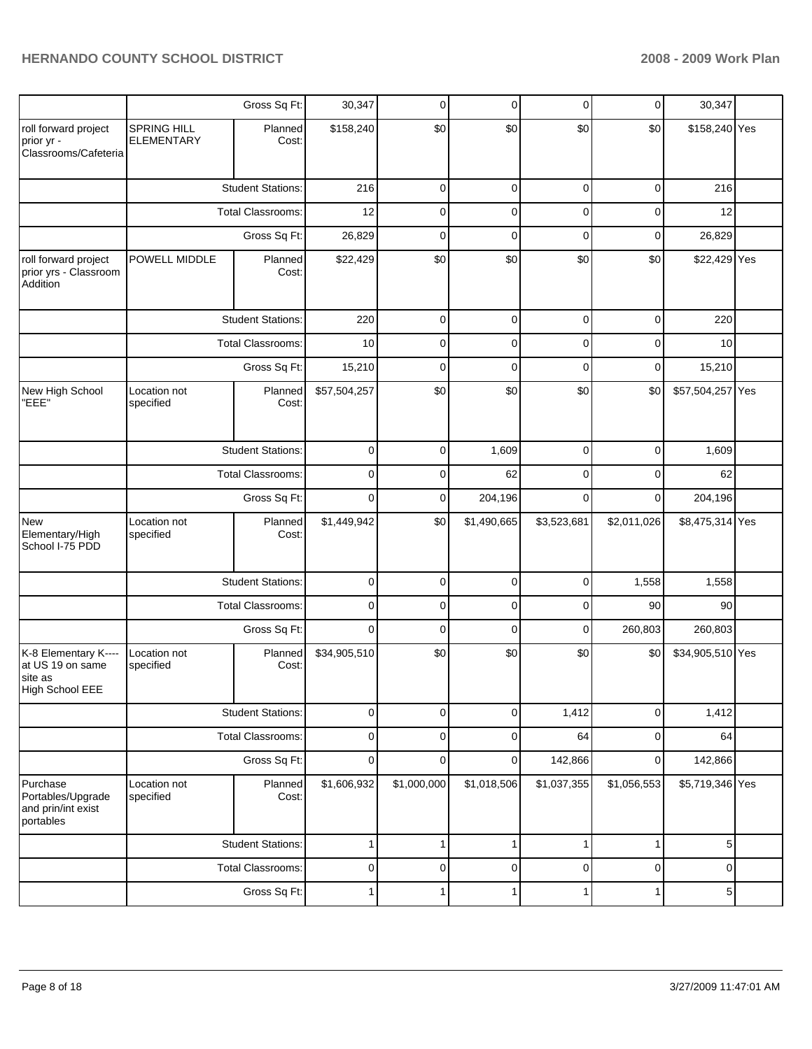|                                                                        |                                         | Gross Sq Ft:             | 30,347       | 0           | $\mathbf 0$ | 0           | $\mathbf 0$ | 30,347           |  |
|------------------------------------------------------------------------|-----------------------------------------|--------------------------|--------------|-------------|-------------|-------------|-------------|------------------|--|
| roll forward project<br>prior yr -<br>Classrooms/Cafeteria             | <b>SPRING HILL</b><br><b>ELEMENTARY</b> | Planned<br>Cost:         | \$158,240    | \$0         | \$0         | \$0         | \$0         | \$158,240 Yes    |  |
|                                                                        |                                         | <b>Student Stations:</b> | 216          | $\mathbf 0$ | $\mathbf 0$ | $\mathbf 0$ | $\mathbf 0$ | 216              |  |
|                                                                        |                                         | Total Classrooms:        | 12           | 0           | $\mathbf 0$ | 0           | $\mathbf 0$ | 12               |  |
|                                                                        |                                         | Gross Sq Ft:             | 26,829       | $\mathbf 0$ | $\mathbf 0$ | $\mathbf 0$ | $\mathbf 0$ | 26,829           |  |
| roll forward project<br>prior yrs - Classroom<br>Addition              | POWELL MIDDLE                           | Planned<br>Cost:         | \$22,429     | \$0         | \$0         | \$0         | \$0         | \$22,429 Yes     |  |
|                                                                        |                                         | <b>Student Stations:</b> | 220          | 0           | $\mathbf 0$ | 0           | $\mathbf 0$ | 220              |  |
|                                                                        |                                         | Total Classrooms:        | 10           | 0           | 0           | 0           | 0           | 10               |  |
|                                                                        |                                         | Gross Sq Ft:             | 15,210       | 0           | 0           | 0           | $\mathbf 0$ | 15,210           |  |
| New High School<br>"EEE"                                               | Location not<br>specified               | Planned<br>Cost:         | \$57,504,257 | \$0         | \$0         | \$0         | \$0         | \$57,504,257 Yes |  |
|                                                                        |                                         | <b>Student Stations:</b> | $\mathbf 0$  | 0           | 1,609       | $\mathbf 0$ | $\mathbf 0$ | 1,609            |  |
|                                                                        |                                         | Total Classrooms:        | $\mathbf 0$  | 0           | 62          | 0           | 0           | 62               |  |
|                                                                        |                                         | Gross Sq Ft:             | $\mathbf 0$  | $\mathbf 0$ | 204,196     | 0           | $\mathbf 0$ | 204,196          |  |
| <b>New</b><br>Elementary/High<br>School I-75 PDD                       | Location not<br>specified               | Planned<br>Cost:         | \$1,449,942  | \$0         | \$1,490,665 | \$3,523,681 | \$2,011,026 | \$8,475,314 Yes  |  |
|                                                                        |                                         | <b>Student Stations:</b> | 0            | 0           | 0           | 0           | 1,558       | 1,558            |  |
|                                                                        |                                         | Total Classrooms:        | 0            | 0           | 0           | 0           | 90          | 90               |  |
|                                                                        |                                         | Gross Sq Ft:             | $\mathbf 0$  | 0           | 0           | 0           | 260,803     | 260,803          |  |
| K-8 Elementary K----<br>at US 19 on same<br>site as<br>High School EEE | Location not<br>specified               | Planned<br>Cost:         | \$34,905,510 | \$0         | \$0         | \$0         | \$0         | \$34,905,510 Yes |  |
|                                                                        |                                         | <b>Student Stations:</b> | $\pmb{0}$    | 0           | $\mathbf 0$ | 1,412       | $\mathbf 0$ | 1,412            |  |
|                                                                        |                                         | Total Classrooms:        | $\pmb{0}$    | 0           | $\mathbf 0$ | 64          | $\mathbf 0$ | 64               |  |
|                                                                        |                                         | Gross Sq Ft:             | 0            | 0           | 0           | 142,866     | 0           | 142,866          |  |
| Purchase<br>Portables/Upgrade<br>and prin/int exist<br>portables       | Location not<br>specified               | Planned<br>Cost:         | \$1,606,932  | \$1,000,000 | \$1,018,506 | \$1,037,355 | \$1,056,553 | \$5,719,346 Yes  |  |
|                                                                        |                                         | <b>Student Stations:</b> | 1            | 1           | 1           | 1           | 1           | 5                |  |
|                                                                        |                                         | Total Classrooms:        | 0            | 0           | 0           | 0           | 0           | 0                |  |
|                                                                        |                                         | Gross Sq Ft:             | 1            | 1           | 1           | 1           | 1           | 5                |  |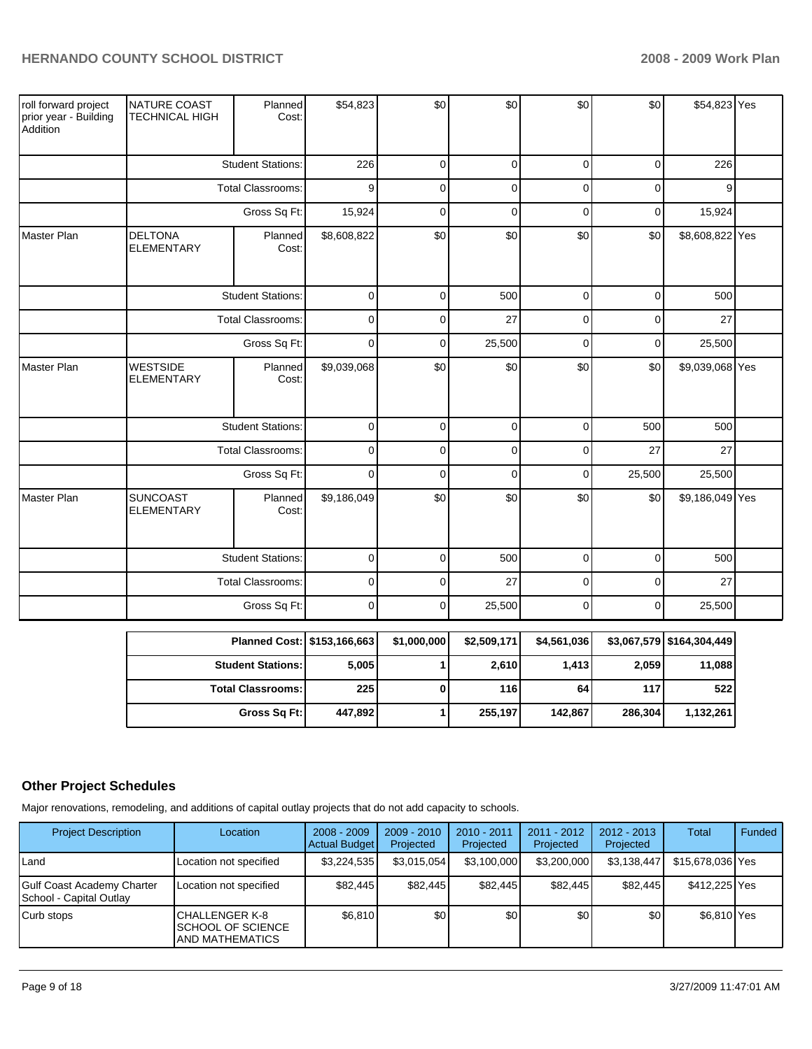| roll forward project<br>prior year - Building<br>Addition | NATURE COAST<br><b>TECHNICAL HIGH</b> | Planned<br>Cost:         | \$54,823    | \$0         | \$0         | \$0         | \$0         | \$54,823 Yes    |  |
|-----------------------------------------------------------|---------------------------------------|--------------------------|-------------|-------------|-------------|-------------|-------------|-----------------|--|
|                                                           |                                       | <b>Student Stations:</b> | 226         | $\Omega$    | $\mathbf 0$ | $\mathbf 0$ | $\mathbf 0$ | 226             |  |
|                                                           |                                       | Total Classrooms:        | 9           | $\mathbf 0$ | $\mathbf 0$ | $\mathbf 0$ | $\mathbf 0$ | 9               |  |
|                                                           |                                       | Gross Sq Ft:             | 15,924      | $\mathbf 0$ | $\mathbf 0$ | 0           | $\mathbf 0$ | 15,924          |  |
| Master Plan                                               | <b>DELTONA</b><br><b>ELEMENTARY</b>   | Planned<br>Cost:         | \$8,608,822 | \$0         | \$0         | \$0         | \$0         | \$8,608,822 Yes |  |
|                                                           |                                       | <b>Student Stations:</b> | $\mathsf 0$ | $\mathbf 0$ | 500         | $\mathbf 0$ | $\mathbf 0$ | 500             |  |
|                                                           |                                       | Total Classrooms:        | $\pmb{0}$   | $\mathbf 0$ | 27          | $\mathbf 0$ | $\mathbf 0$ | 27              |  |
|                                                           |                                       | Gross Sq Ft:             | $\pmb{0}$   | 0           | 25,500      | 0           | 0           | 25,500          |  |
| Master Plan                                               | <b>WESTSIDE</b><br><b>ELEMENTARY</b>  | Planned<br>Cost:         | \$9,039,068 | \$0         | \$0         | \$0         | \$0         | \$9,039,068 Yes |  |
|                                                           |                                       | <b>Student Stations:</b> | $\pmb{0}$   | $\mathbf 0$ | $\pmb{0}$   | $\mathbf 0$ | 500         | 500             |  |
|                                                           |                                       | Total Classrooms:        | $\mathsf 0$ | $\mathbf 0$ | $\pmb{0}$   | 0           | 27          | 27              |  |
|                                                           |                                       | Gross Sq Ft:             | $\mathbf 0$ | $\mathbf 0$ | $\mathbf 0$ | $\mathbf 0$ | 25,500      | 25,500          |  |
| Master Plan                                               | <b>SUNCOAST</b><br><b>ELEMENTARY</b>  | Planned<br>Cost:         | \$9,186,049 | \$0         | \$0         | \$0         | \$0         | \$9,186,049 Yes |  |
|                                                           |                                       | <b>Student Stations:</b> | $\pmb{0}$   | $\mathbf 0$ | 500         | $\mathbf 0$ | $\mathbf 0$ | 500             |  |
|                                                           |                                       | <b>Total Classrooms:</b> | $\pmb{0}$   | $\Omega$    | 27          | $\Omega$    | $\mathbf 0$ | 27              |  |
|                                                           |                                       | Gross Sq Ft:             | $\mathbf 0$ | $\mathbf 0$ | 25,500      | 0           | $\mathbf 0$ | 25,500          |  |
|                                                           |                                       |                          |             |             |             |             |             |                 |  |

| Planned Cost:   \$153,166,663 |         | \$1,000,000 | \$2,509,171 | \$4.561.036 |         | \$3,067,579 \$164,304,449 |
|-------------------------------|---------|-------------|-------------|-------------|---------|---------------------------|
| <b>Student Stations:</b>      | 5,005   |             | 2,610       | 1,413       | 2,059   | 11,088                    |
| <b>Total Classrooms:</b>      | 225     |             | 116         | 64          | 117     | 522                       |
| Gross Sq Ft:                  | 447,892 |             | 255,197     | 142.867     | 286.304 | 1,132,261                 |

# **Other Project Schedules**

Major renovations, remodeling, and additions of capital outlay projects that do not add capacity to schools.

| <b>Project Description</b>                                   | Location                                                                | $2008 - 2009$<br>Actual Budget | $2009 - 2010$<br>Projected | 2010 - 2011<br>Projected | 2011 - 2012<br>Projected | $2012 - 2013$<br>Projected | Total            | Funded |
|--------------------------------------------------------------|-------------------------------------------------------------------------|--------------------------------|----------------------------|--------------------------|--------------------------|----------------------------|------------------|--------|
| Land                                                         | Location not specified                                                  | \$3.224.535                    | \$3,015,054                | \$3,100,000              | \$3,200,000              | \$3,138,447                | \$15,678,036 Yes |        |
| <b>Gulf Coast Academy Charter</b><br>School - Capital Outlay | Location not specified                                                  | \$82,445                       | \$82.445                   | \$82,445                 | \$82.445                 | \$82.445                   | \$412,225 Yes    |        |
| Curb stops                                                   | ICHALLENGER K-8<br><b>ISCHOOL OF SCIENCE</b><br><b>JAND MATHEMATICS</b> | \$6,810                        | \$0 <sub>1</sub>           | \$0                      | \$0                      | \$0                        | \$6.810 Yes      |        |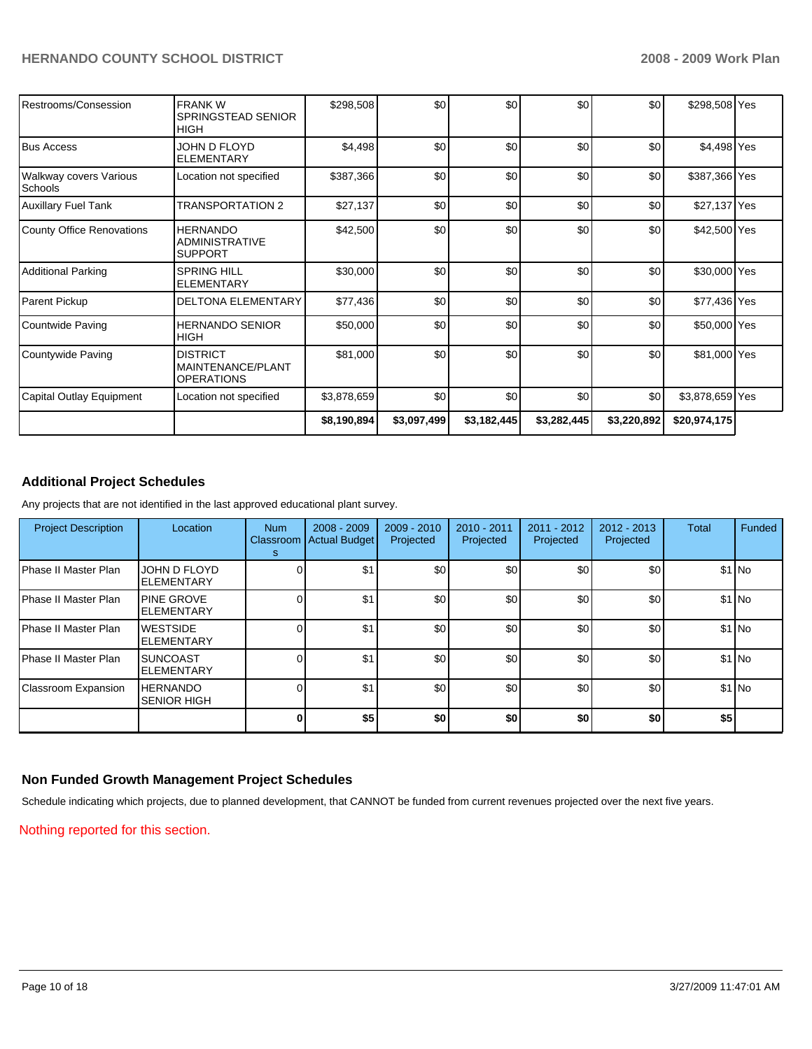| Restrooms/Consession                     | <b>FRANKW</b><br>SPRINGSTEAD SENIOR<br><b>HIGH</b>         | \$298,508   | \$0         | \$0         | \$0         | \$0         | \$298,508 Yes   |  |
|------------------------------------------|------------------------------------------------------------|-------------|-------------|-------------|-------------|-------------|-----------------|--|
| <b>Bus Access</b>                        | JOHN D FLOYD<br><b>ELEMENTARY</b>                          | \$4,498     | \$0         | \$0         | \$0         | \$0         | \$4,498 Yes     |  |
| <b>Walkway covers Various</b><br>Schools | Location not specified                                     | \$387,366   | \$0         | \$0         | \$0         | \$0         | \$387,366 Yes   |  |
| <b>Auxillary Fuel Tank</b>               | <b>TRANSPORTATION 2</b>                                    | \$27,137    | \$0         | \$0         | \$0         | \$0         | \$27,137 Yes    |  |
| County Office Renovations                | <b>HERNANDO</b><br><b>ADMINISTRATIVE</b><br><b>SUPPORT</b> | \$42,500    | \$0         | \$0         | \$0         | \$0         | \$42,500 Yes    |  |
| <b>Additional Parking</b>                | <b>SPRING HILL</b><br><b>ELEMENTARY</b>                    | \$30,000    | \$0         | \$0         | \$0         | \$0         | \$30,000 Yes    |  |
| Parent Pickup                            | <b>DELTONA ELEMENTARY</b>                                  | \$77,436    | \$0         | \$0         | \$0         | \$0         | \$77,436 Yes    |  |
| Countwide Paving                         | <b>HERNANDO SENIOR</b><br><b>HIGH</b>                      | \$50,000    | \$0         | \$0         | \$0         | \$0         | \$50,000 Yes    |  |
| Countywide Paving                        | <b>DISTRICT</b><br>MAINTENANCE/PLANT<br><b>OPERATIONS</b>  | \$81,000    | \$0         | \$0         | \$0         | \$0         | \$81,000 Yes    |  |
| Capital Outlay Equipment                 | Location not specified                                     | \$3,878,659 | \$0         | \$0         | \$0         | \$0         | \$3,878,659 Yes |  |
|                                          |                                                            | \$8,190,894 | \$3,097,499 | \$3,182,445 | \$3,282,445 | \$3,220,892 | \$20,974,175    |  |

### **Additional Project Schedules**

Any projects that are not identified in the last approved educational plant survey.

| <b>Project Description</b>   | Location                               | <b>Num</b><br>Classroom<br>s | $2008 - 2009$<br><b>Actual Budget</b> | $2009 - 2010$<br>Projected | 2010 - 2011<br>Projected | $2011 - 2012$<br>Projected | $2012 - 2013$<br>Projected | <b>Total</b> | Funded  |
|------------------------------|----------------------------------------|------------------------------|---------------------------------------|----------------------------|--------------------------|----------------------------|----------------------------|--------------|---------|
| Phase II Master Plan         | JOHN D FLOYD<br><b>ELEMENTARY</b>      |                              | \$1                                   | \$0                        | \$0                      | \$0                        | \$0                        |              | $$1$ No |
| l Phase II Master Plan       | <b>PINE GROVE</b><br><b>ELEMENTARY</b> |                              | \$1                                   | \$0                        | \$0                      | \$0                        | \$0                        |              | $$1$ No |
| Phase II Master Plan         | <b>WESTSIDE</b><br><b>ELEMENTARY</b>   |                              | \$1                                   | \$0                        | \$0                      | \$0                        | \$0                        |              | $$1$ No |
| <b>IPhase II Master Plan</b> | <b>SUNCOAST</b><br><b>ELEMENTARY</b>   |                              | \$1                                   | \$0                        | \$0                      | \$0                        | \$0                        |              | $$1$ No |
| Classroom Expansion          | <b>HERNANDO</b><br><b>SENIOR HIGH</b>  |                              | \$1                                   | \$0                        | \$0                      | \$0                        | \$0                        |              | $$1$ No |
|                              |                                        |                              | \$5                                   | \$0                        | \$0                      | \$0                        | \$0                        | \$5          |         |

### **Non Funded Growth Management Project Schedules**

Schedule indicating which projects, due to planned development, that CANNOT be funded from current revenues projected over the next five years.

Nothing reported for this section.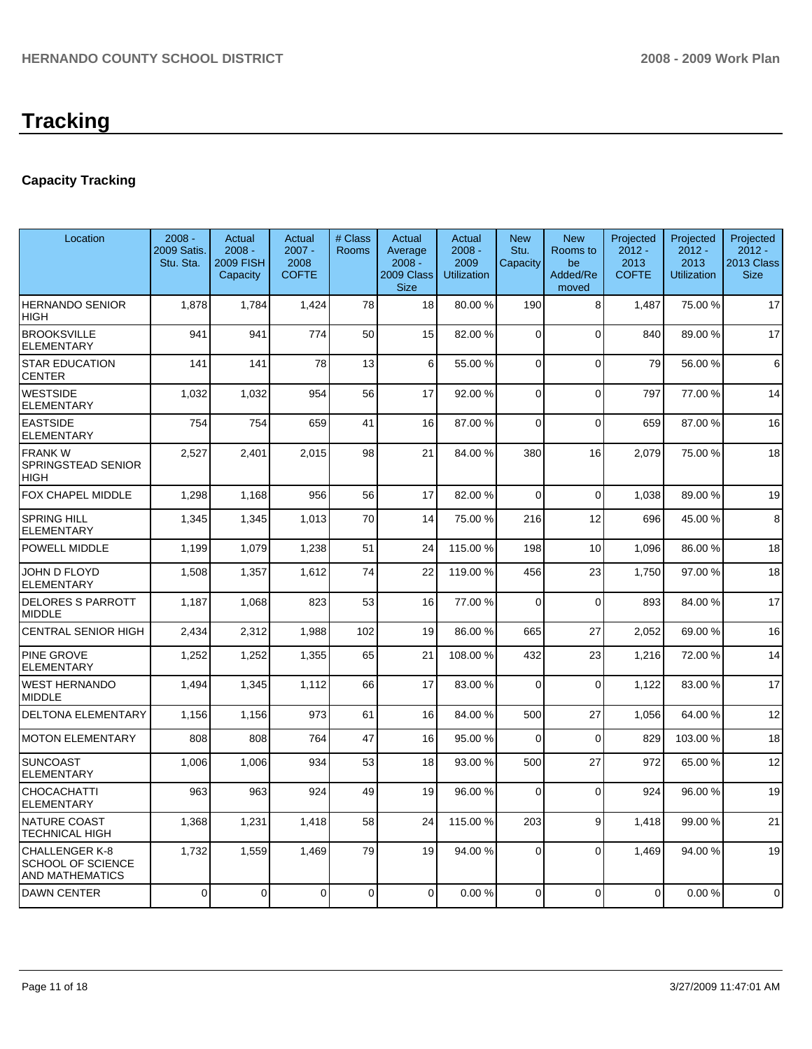# **Tracking**

# **Capacity Tracking**

| Location                                                             | $2008 -$<br>2009 Satis.<br>Stu. Sta. | <b>Actual</b><br>$2008 -$<br><b>2009 FISH</b><br>Capacity | Actual<br>$2007 -$<br>2008<br><b>COFTE</b> | # Class<br>Rooms | <b>Actual</b><br>Average<br>$2008 -$<br>2009 Class<br><b>Size</b> | Actual<br>$2008 -$<br>2009<br><b>Utilization</b> | <b>New</b><br>Stu.<br>Capacity | <b>New</b><br>Rooms to<br>be<br>Added/Re<br>moved | Projected<br>$2012 -$<br>2013<br><b>COFTE</b> | Projected<br>$2012 -$<br>2013<br><b>Utilization</b> | Projected<br>$2012 -$<br>2013 Class<br><b>Size</b> |
|----------------------------------------------------------------------|--------------------------------------|-----------------------------------------------------------|--------------------------------------------|------------------|-------------------------------------------------------------------|--------------------------------------------------|--------------------------------|---------------------------------------------------|-----------------------------------------------|-----------------------------------------------------|----------------------------------------------------|
| <b>HERNANDO SENIOR</b><br><b>HIGH</b>                                | 1,878                                | 1,784                                                     | 1,424                                      | 78               | 18                                                                | 80.00 %                                          | 190                            | 8                                                 | 1,487                                         | 75.00 %                                             | 17                                                 |
| <b>BROOKSVILLE</b><br>ELEMENTARY                                     | 941                                  | 941                                                       | 774                                        | 50               | 15                                                                | 82.00%                                           | $\Omega$                       | $\Omega$                                          | 840                                           | 89.00 %                                             | 17                                                 |
| <b>STAR EDUCATION</b><br><b>CENTER</b>                               | 141                                  | 141                                                       | 78                                         | 13               | 6                                                                 | 55.00 %                                          | $\Omega$                       | $\Omega$                                          | 79                                            | 56.00 %                                             | 6                                                  |
| <b>WESTSIDE</b><br><b>ELEMENTARY</b>                                 | 1,032                                | 1,032                                                     | 954                                        | 56               | 17                                                                | 92.00 %                                          | $\Omega$                       | $\Omega$                                          | 797                                           | 77.00 %                                             | 14                                                 |
| <b>EASTSIDE</b><br><b>ELEMENTARY</b>                                 | 754                                  | 754                                                       | 659                                        | 41               | 16                                                                | 87.00 %                                          | $\Omega$                       | $\mathbf 0$                                       | 659                                           | 87.00 %                                             | 16                                                 |
| <b>FRANKW</b><br>SPRINGSTEAD SENIOR<br>HIGH                          | 2,527                                | 2,401                                                     | 2,015                                      | 98               | 21                                                                | 84.00%                                           | 380                            | 16                                                | 2.079                                         | 75.00 %                                             | 18                                                 |
| FOX CHAPEL MIDDLE                                                    | 1,298                                | 1,168                                                     | 956                                        | 56               | 17                                                                | 82.00 %                                          | $\Omega$                       | $\mathbf 0$                                       | 1,038                                         | 89.00 %                                             | 19                                                 |
| SPRING HILL<br>ELEMENTARY                                            | 1.345                                | 1,345                                                     | 1.013                                      | 70               | 14                                                                | 75.00 %                                          | 216                            | 12                                                | 696                                           | 45.00 %                                             | 8                                                  |
| POWELL MIDDLE                                                        | 1,199                                | 1,079                                                     | 1,238                                      | 51               | 24                                                                | 115.00 %                                         | 198                            | 10                                                | 1,096                                         | 86.00 %                                             | 18                                                 |
| JOHN D FLOYD<br><b>ELEMENTARY</b>                                    | 1,508                                | 1,357                                                     | 1,612                                      | 74               | 22                                                                | 119.00 %                                         | 456                            | 23                                                | 1,750                                         | 97.00 %                                             | 18                                                 |
| <b>DELORES S PARROTT</b><br><b>MIDDLE</b>                            | 1,187                                | 1,068                                                     | 823                                        | 53               | 16                                                                | 77.00 %                                          | $\Omega$                       | $\mathbf{0}$                                      | 893                                           | 84.00 %                                             | 17                                                 |
| <b>CENTRAL SENIOR HIGH</b>                                           | 2,434                                | 2,312                                                     | 1,988                                      | 102              | 19                                                                | 86.00 %                                          | 665                            | 27                                                | 2,052                                         | 69.00 %                                             | 16                                                 |
| PINE GROVE<br>ELEMENTARY                                             | 1.252                                | 1,252                                                     | 1,355                                      | 65               | 21                                                                | 108.00 %                                         | 432                            | 23                                                | 1.216                                         | 72.00 %                                             | 14                                                 |
| <b>WEST HERNANDO</b><br><b>MIDDLE</b>                                | 1,494                                | 1,345                                                     | 1,112                                      | 66               | 17                                                                | 83.00 %                                          | $\Omega$                       | $\Omega$                                          | 1.122                                         | 83.00 %                                             | 17                                                 |
| <b>DELTONA ELEMENTARY</b>                                            | 1,156                                | 1,156                                                     | 973                                        | 61               | 16                                                                | 84.00%                                           | 500                            | 27                                                | 1,056                                         | 64.00%                                              | 12                                                 |
| <b>MOTON ELEMENTARY</b>                                              | 808                                  | 808                                                       | 764                                        | 47               | 16                                                                | 95.00 %                                          | $\Omega$                       | $\mathbf 0$                                       | 829                                           | 103.00 %                                            | 18                                                 |
| SUNCOAST<br>ELEMENTARY                                               | 1,006                                | 1,006                                                     | 934                                        | 53               | 18                                                                | 93.00 %                                          | 500                            | 27                                                | 972                                           | 65.00 %                                             | 12                                                 |
| CHOCACHATTI<br><b>ELEMENTARY</b>                                     | 963                                  | 963                                                       | 924                                        | 49               | 19                                                                | 96.00 %                                          | $\Omega$                       | $\Omega$                                          | 924                                           | 96.00 %                                             | 19                                                 |
| NATURE COAST<br><b>TECHNICAL HIGH</b>                                | 1,368                                | 1,231                                                     | 1,418                                      | 58               | 24                                                                | 115.00 %                                         | 203                            | 9                                                 | 1,418                                         | 99.00 %                                             | 21                                                 |
| <b>CHALLENGER K-8</b><br><b>SCHOOL OF SCIENCE</b><br>AND MATHEMATICS | 1,732                                | 1,559                                                     | 1,469                                      | 79               | 19                                                                | 94.00 %                                          | $\Omega$                       | $\Omega$                                          | 1,469                                         | 94.00 %                                             | 19                                                 |
| <b>DAWN CENTER</b>                                                   | $\overline{0}$                       | $\Omega$                                                  | $\Omega$                                   | $\mathbf 0$      | $\Omega$                                                          | 0.00%                                            | $\Omega$                       | $\Omega$                                          | $\mathbf 0$                                   | 0.00%                                               | $\mathbf 0$                                        |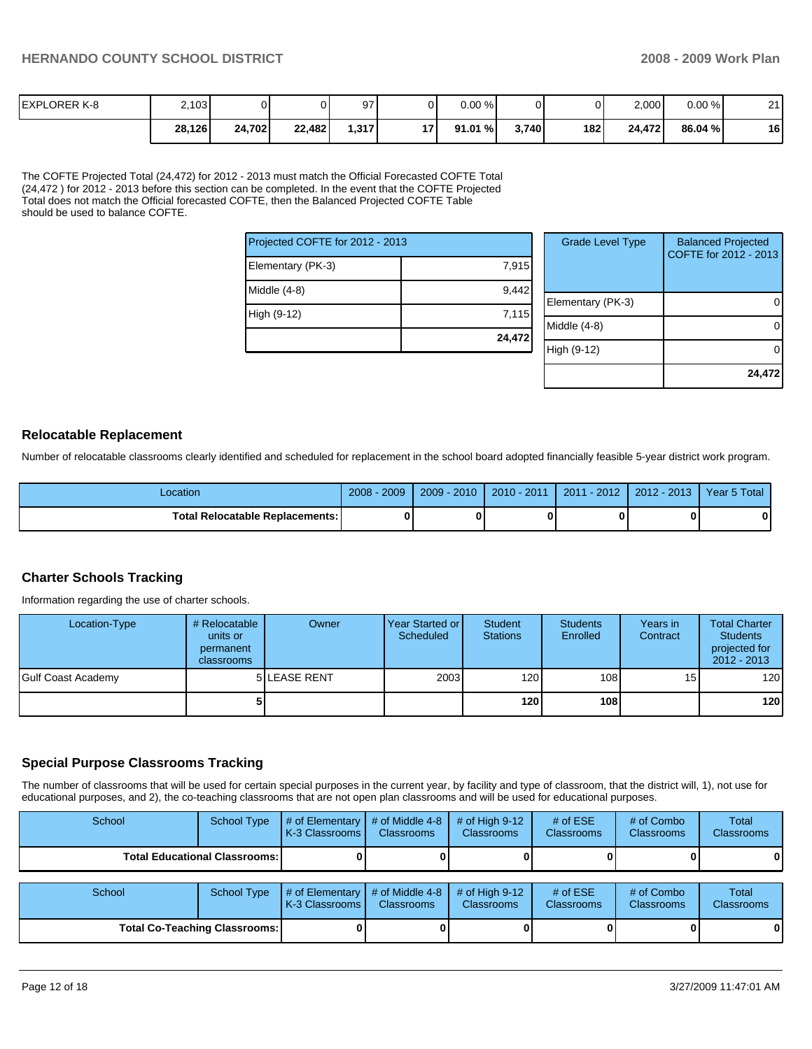| <b>EXPLORER K-8</b> | 2,103  |        |        | 97      | JГ         | 0.00%  |       |     | 2,000  | 0.00%   | $\Omega$<br><u>_</u> |
|---------------------|--------|--------|--------|---------|------------|--------|-------|-----|--------|---------|----------------------|
|                     | 28,126 | 24,702 | 22,482 | ا 317.، | <b>171</b> | 91.01% | 3.740 | 182 | 24.472 | 86.04 % | 16                   |

The COFTE Projected Total (24,472) for 2012 - 2013 must match the Official Forecasted COFTE Total (24,472 ) for 2012 - 2013 before this section can be completed. In the event that the COFTE Projected Total does not match the Official forecasted COFTE, then the Balanced Projected COFTE Table should be used to balance COFTE.

| Projected COFTE for 2012 - 2013 |        |  |  |  |  |
|---------------------------------|--------|--|--|--|--|
| Elementary (PK-3)               | 7,915  |  |  |  |  |
| Middle (4-8)                    | 9,442  |  |  |  |  |
| High (9-12)                     | 7,115  |  |  |  |  |
|                                 | 24,472 |  |  |  |  |

| <b>Grade Level Type</b> | <b>Balanced Projected</b><br>COFTE for 2012 - 2013 |
|-------------------------|----------------------------------------------------|
| Elementary (PK-3)       |                                                    |
| Middle $(4-8)$          |                                                    |
| High (9-12)             |                                                    |
|                         | 24,472                                             |

### **Relocatable Replacement**

Number of relocatable classrooms clearly identified and scheduled for replacement in the school board adopted financially feasible 5-year district work program.

| Location                               | $-2009'$<br>$2008 -$ | $2009 - 2010$ | $2010 - 2011$ | $2011 - 2012$ | 2012 - 2013 | Year 5 Total |
|----------------------------------------|----------------------|---------------|---------------|---------------|-------------|--------------|
| <b>Total Relocatable Replacements:</b> |                      |               |               |               |             |              |

### **Charter Schools Tracking**

Information regarding the use of charter schools.

| Location-Type      | # Relocatable  <br>units or<br>permanent<br><b>classrooms</b> | Owner               | Year Started or I<br>Scheduled | Student<br><b>Stations</b> | <b>Students</b><br>Enrolled | Years in<br>Contract | <b>Total Charter</b><br><b>Students</b><br>projected for<br>$2012 - 2013$ |
|--------------------|---------------------------------------------------------------|---------------------|--------------------------------|----------------------------|-----------------------------|----------------------|---------------------------------------------------------------------------|
| Gulf Coast Academy |                                                               | <b>5 LEASE RENT</b> | 2003                           | 120 <b>1</b>               | 108 <sup>1</sup>            | 15 <sub>1</sub>      | 120                                                                       |
|                    |                                                               |                     |                                | 120 l                      | 108 <sup>1</sup>            |                      | 120                                                                       |

### **Special Purpose Classrooms Tracking**

The number of classrooms that will be used for certain special purposes in the current year, by facility and type of classroom, that the district will, 1), not use for educational purposes, and 2), the co-teaching classrooms that are not open plan classrooms and will be used for educational purposes.

| School                               | <b>School Type</b> | # of Elementary<br>K-3 Classrooms I | # of Middle 4-8<br><b>Classrooms</b> | $#$ of High 9-12<br><b>Classrooms</b> | # of $ESE$<br>Classrooms | # of Combo<br><b>Classrooms</b> | <b>Total</b><br><b>Classrooms</b> |
|--------------------------------------|--------------------|-------------------------------------|--------------------------------------|---------------------------------------|--------------------------|---------------------------------|-----------------------------------|
| <b>Total Educational Classrooms:</b> |                    |                                     |                                      | ΟI                                    |                          |                                 | 0                                 |
| School                               | <b>School Type</b> | # of Elementary<br>K-3 Classrooms   | # of Middle 4-8<br><b>Classrooms</b> | # of High $9-12$<br><b>Classrooms</b> | # of $ESE$<br>Classrooms | # of Combo<br><b>Classrooms</b> | <b>Total</b><br><b>Classrooms</b> |
| <b>Total Co-Teaching Classrooms:</b> |                    |                                     |                                      | 01                                    |                          | 0                               | $\mathbf{0}$                      |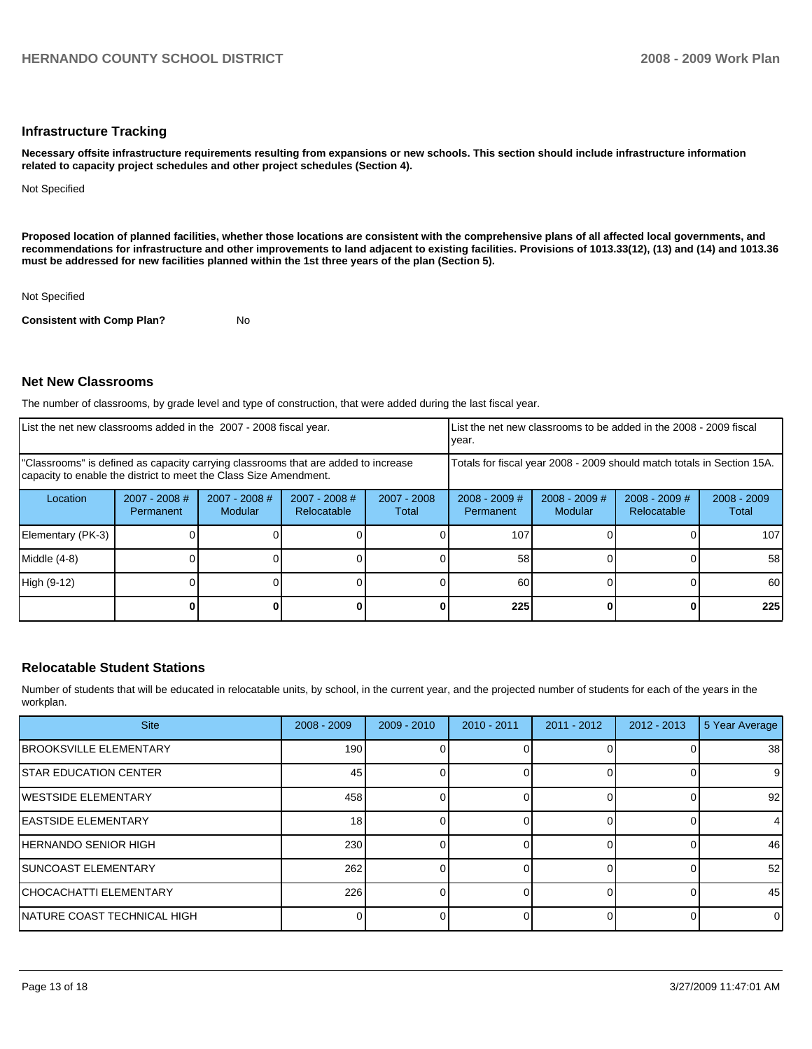### **Infrastructure Tracking**

**Necessary offsite infrastructure requirements resulting from expansions or new schools. This section should include infrastructure information related to capacity project schedules and other project schedules (Section 4).** 

Not Specified

**Proposed location of planned facilities, whether those locations are consistent with the comprehensive plans of all affected local governments, and recommendations for infrastructure and other improvements to land adjacent to existing facilities. Provisions of 1013.33(12), (13) and (14) and 1013.36 must be addressed for new facilities planned within the 1st three years of the plan (Section 5).** 

Not Specified

**Consistent with Comp Plan?** No

### **Net New Classrooms**

The number of classrooms, by grade level and type of construction, that were added during the last fiscal year.

| List the net new classrooms added in the 2007 - 2008 fiscal year.                                                                                       |                              |                                   |                                |                      | year.                        |                                                                        | List the net new classrooms to be added in the 2008 - 2009 fiscal |                        |
|---------------------------------------------------------------------------------------------------------------------------------------------------------|------------------------------|-----------------------------------|--------------------------------|----------------------|------------------------------|------------------------------------------------------------------------|-------------------------------------------------------------------|------------------------|
| "Classrooms" is defined as capacity carrying classrooms that are added to increase<br>capacity to enable the district to meet the Class Size Amendment. |                              |                                   |                                |                      |                              | Totals for fiscal year 2008 - 2009 should match totals in Section 15A. |                                                                   |                        |
| Location                                                                                                                                                | $2007 - 2008$ #<br>Permanent | $2007 - 2008$ #<br><b>Modular</b> | $2007 - 2008$ #<br>Relocatable | 2007 - 2008<br>Total | $2008 - 2009$ #<br>Permanent | $2008 - 2009$ #<br>Modular                                             | $2008 - 2009$ #<br>Relocatable                                    | $2008 - 2009$<br>Total |
| Elementary (PK-3)                                                                                                                                       |                              |                                   |                                |                      | 107                          |                                                                        |                                                                   | 1071                   |
| Middle (4-8)                                                                                                                                            |                              |                                   |                                |                      | 58                           |                                                                        |                                                                   | 58 <sup>1</sup>        |
| High (9-12)                                                                                                                                             |                              |                                   |                                |                      | 60                           |                                                                        |                                                                   | 60 I                   |
|                                                                                                                                                         |                              |                                   |                                |                      | 225                          |                                                                        |                                                                   | 225                    |

### **Relocatable Student Stations**

Number of students that will be educated in relocatable units, by school, in the current year, and the projected number of students for each of the years in the workplan.

| <b>Site</b>                    | $2008 - 2009$    | $2009 - 2010$ | $2010 - 2011$ | $2011 - 2012$ | $2012 - 2013$ | 5 Year Average |
|--------------------------------|------------------|---------------|---------------|---------------|---------------|----------------|
| <b>IBROOKSVILLE ELEMENTARY</b> | 190 <sup>1</sup> |               |               |               |               | 38             |
| <b>STAR EDUCATION CENTER</b>   | 45               |               |               |               |               | 9              |
| <b>IWESTSIDE ELEMENTARY</b>    | 458              |               |               |               |               | 92             |
| <b>IEASTSIDE ELEMENTARY</b>    | 18               |               |               |               |               | 4              |
| <b>HERNANDO SENIOR HIGH</b>    | 230              |               |               |               |               | 46             |
| <b>ISUNCOAST ELEMENTARY</b>    | 262              |               |               |               |               | 52             |
| <b>ICHOCACHATTI ELEMENTARY</b> | 226              |               |               |               | 0             | 45             |
| NATURE COAST TECHNICAL HIGH    |                  |               |               |               | $\Omega$      | $\overline{0}$ |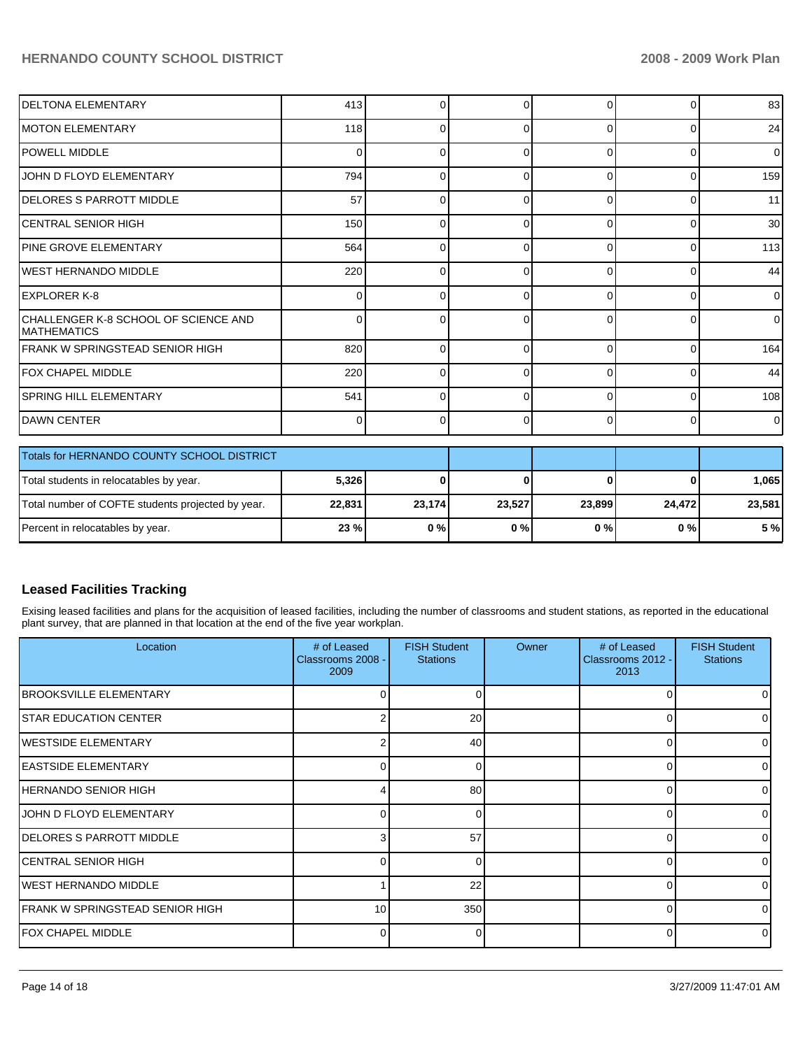| <b>DELTONA ELEMENTARY</b>                                   | 413            | $\Omega$ | ŋ        | $\Omega$    | 0        | 83       |
|-------------------------------------------------------------|----------------|----------|----------|-------------|----------|----------|
| <b>IMOTON ELEMENTARY</b>                                    | 118            | $\Omega$ | 0        | $\Omega$    | $\Omega$ | 24       |
| <b>POWELL MIDDLE</b>                                        | $\Omega$       | $\Omega$ | 0        | $\Omega$    | $\Omega$ | $\Omega$ |
| JOHN D FLOYD ELEMENTARY                                     | 794            | $\Omega$ | ŋ        | $\Omega$    | 0        | 159      |
| <b>DELORES S PARROTT MIDDLE</b>                             | 57             | $\Omega$ | ∩        | $\Omega$    | 0        | 11       |
| ICENTRAL SENIOR HIGH                                        | 150            | $\Omega$ |          | $\Omega$    | $\Omega$ | 30       |
| <b>PINE GROVE ELEMENTARY</b>                                | 564            | $\Omega$ | ∩        | $\Omega$    | $\Omega$ | 113      |
| IWEST HERNANDO MIDDLE                                       | 220            | $\Omega$ | ŋ        | $\Omega$    | 0        | 44       |
| <b>IEXPLORER K-8</b>                                        | $\Omega$       | $\Omega$ | ŋ        | C           | $\Omega$ | 0        |
| CHALLENGER K-8 SCHOOL OF SCIENCE AND<br><b>IMATHEMATICS</b> | 0              | $\Omega$ | 0        | C           | 0        | 0        |
| <b>FRANK W SPRINGSTEAD SENIOR HIGH</b>                      | 820            | 0        | 0        | $\Omega$    | $\Omega$ | 164      |
| FOX CHAPEL MIDDLE                                           | 220            | $\Omega$ | 0        | $\Omega$    | $\Omega$ | 44       |
| <b>SPRING HILL ELEMENTARY</b>                               | 541            | $\Omega$ | $\Omega$ | $\Omega$    | 0        | 108      |
| <b>DAWN CENTER</b>                                          | $\overline{0}$ | $\Omega$ | 0        | $\Omega$    | $\Omega$ | 0        |
| Totals for HERNANDO COUNTY SCHOOL DISTRICT                  |                |          |          |             |          |          |
| Total students in relocatables by year.                     | 5,326          | $\bf{0}$ | 0        | $\mathbf 0$ | ŋ        | 1,065    |
| Total number of COFTE students projected by year.           | 22,831         | 23,174   | 23,527   | 23,899      | 24,472   | 23,581   |
| Percent in relocatables by year.                            | 23 %           | 0%       | 0%       | 0%          | 0%       | 5 %      |

## **Leased Facilities Tracking**

Exising leased facilities and plans for the acquisition of leased facilities, including the number of classrooms and student stations, as reported in the educational plant survey, that are planned in that location at the end of the five year workplan.

| Location                        | # of Leased<br>Classrooms 2008 -<br>2009 | <b>FISH Student</b><br><b>Stations</b> | Owner | # of Leased<br>Classrooms 2012 -<br>2013 | <b>FISH Student</b><br><b>Stations</b> |
|---------------------------------|------------------------------------------|----------------------------------------|-------|------------------------------------------|----------------------------------------|
| <b>BROOKSVILLE ELEMENTARY</b>   | 0                                        | 0                                      |       | 0                                        |                                        |
| <b>STAR EDUCATION CENTER</b>    | 2                                        | 20                                     |       | 0                                        |                                        |
| <b>IWESTSIDE ELEMENTARY</b>     | 2                                        | 40                                     |       | $\Omega$                                 |                                        |
| <b>EASTSIDE ELEMENTARY</b>      | 0                                        | 0                                      |       | 0                                        | $\Omega$                               |
| IHERNANDO SENIOR HIGH           | 4                                        | 80                                     |       | $\Omega$                                 |                                        |
| JOHN D FLOYD ELEMENTARY         | 0                                        | 0                                      |       | $\Omega$                                 |                                        |
| DELORES S PARROTT MIDDLE        | 3                                        | 57                                     |       | $\Omega$                                 | $\Omega$                               |
| <b>CENTRAL SENIOR HIGH</b>      | 0                                        | $\Omega$                               |       | $\Omega$                                 |                                        |
| IWEST HERNANDO MIDDLE           |                                          | 22                                     |       | $\Omega$                                 |                                        |
| FRANK W SPRINGSTEAD SENIOR HIGH | 10                                       | 350                                    |       | $\Omega$                                 |                                        |
| <b>IFOX CHAPEL MIDDLE</b>       | 0                                        | 0                                      |       | 0                                        | $\Omega$                               |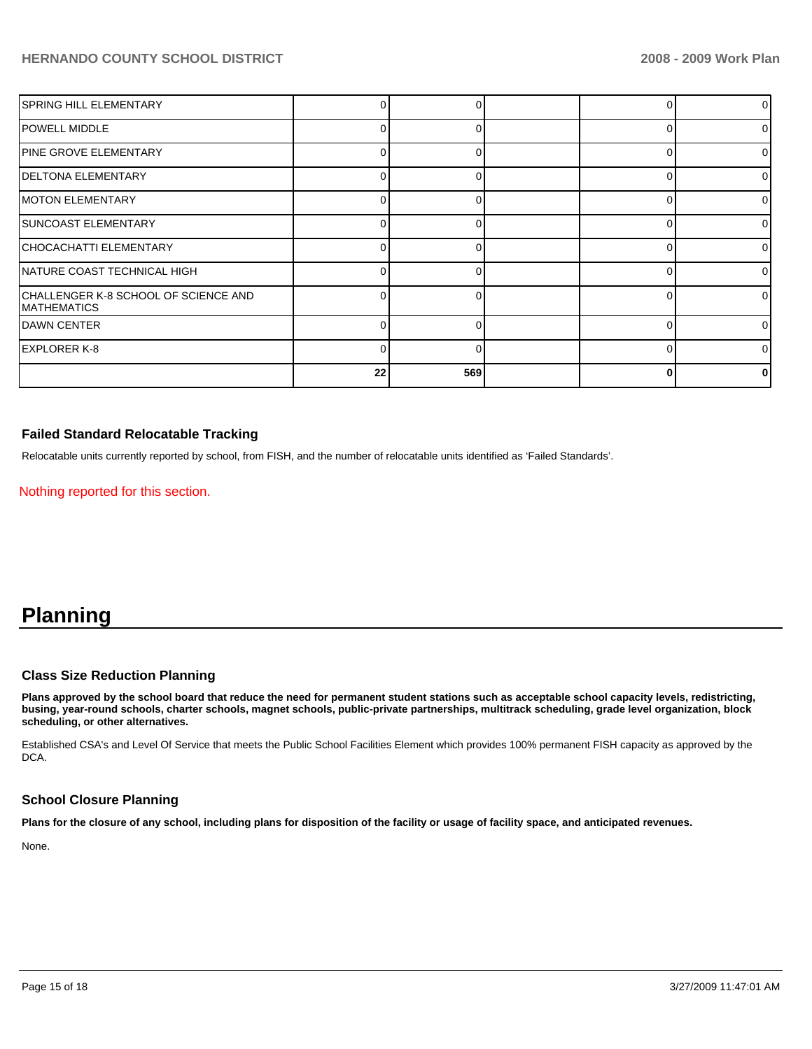| <b>SPRING HILL ELEMENTARY</b>                              |    |     |          |              |
|------------------------------------------------------------|----|-----|----------|--------------|
| POWELL MIDDLE                                              | 0  | U   | O        | <sup>o</sup> |
| <b>PINE GROVE ELEMENTARY</b>                               | U. | U   | ŋ        | O            |
| <b>DELTONA ELEMENTARY</b>                                  | n  |     | ∩        | ∩            |
| <b>MOTON ELEMENTARY</b>                                    | ∩  |     | $\Omega$ | ∩            |
| <b>SUNCOAST ELEMENTARY</b>                                 |    |     | ∩        |              |
| CHOCACHATTI ELEMENTARY                                     |    |     | $\Omega$ |              |
| NATURE COAST TECHNICAL HIGH                                |    |     | $\Omega$ |              |
| CHALLENGER K-8 SCHOOL OF SCIENCE AND<br><b>MATHEMATICS</b> |    |     |          |              |
| IDAWN CENTER                                               | ∩  |     | ∩        |              |
| EXPLORER K-8                                               |    |     | $\Omega$ |              |
|                                                            | 22 | 569 | O        |              |

### **Failed Standard Relocatable Tracking**

Relocatable units currently reported by school, from FISH, and the number of relocatable units identified as 'Failed Standards'.

Nothing reported for this section.

# **Planning**

### **Class Size Reduction Planning**

**Plans approved by the school board that reduce the need for permanent student stations such as acceptable school capacity levels, redistricting, busing, year-round schools, charter schools, magnet schools, public-private partnerships, multitrack scheduling, grade level organization, block scheduling, or other alternatives.** 

Established CSA's and Level Of Service that meets the Public School Facilities Element which provides 100% permanent FISH capacity as approved by the DCA.

### **School Closure Planning**

**Plans for the closure of any school, including plans for disposition of the facility or usage of facility space, and anticipated revenues.** 

None.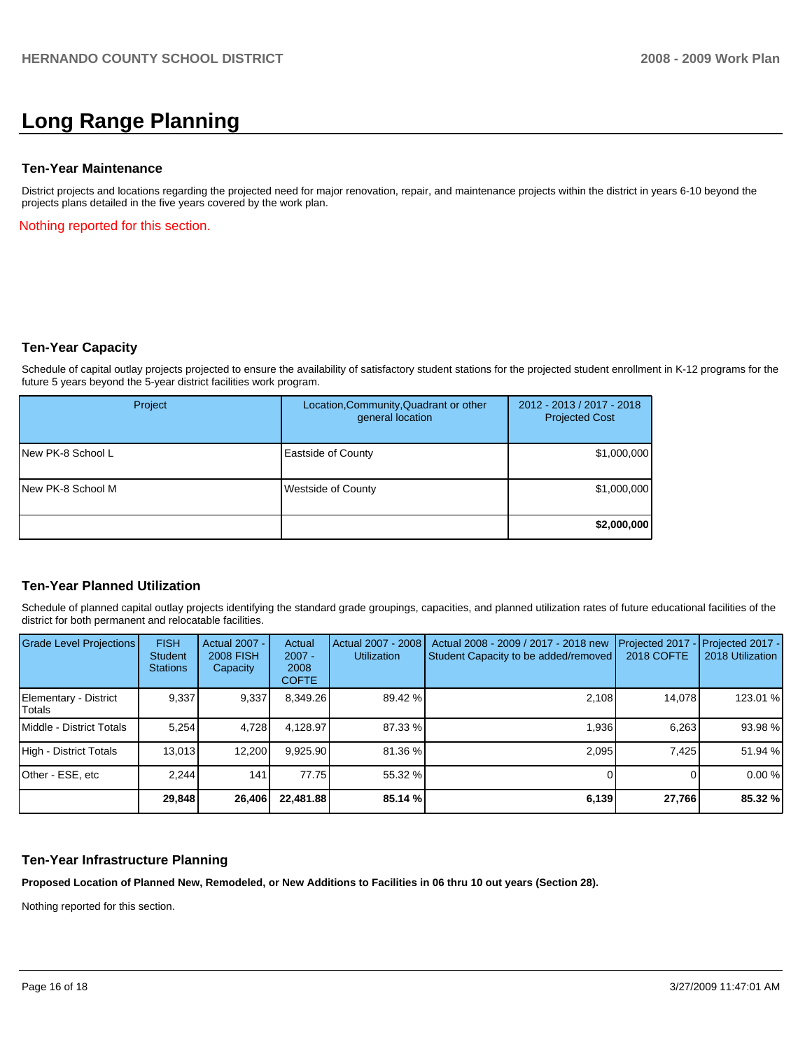# **Long Range Planning**

### **Ten-Year Maintenance**

District projects and locations regarding the projected need for major renovation, repair, and maintenance projects within the district in years 6-10 beyond the projects plans detailed in the five years covered by the work plan.

Nothing reported for this section.

### **Ten-Year Capacity**

Schedule of capital outlay projects projected to ensure the availability of satisfactory student stations for the projected student enrollment in K-12 programs for the future 5 years beyond the 5-year district facilities work program.

| Project           | Location, Community, Quadrant or other<br>general location | 2012 - 2013 / 2017 - 2018<br><b>Projected Cost</b> |
|-------------------|------------------------------------------------------------|----------------------------------------------------|
| New PK-8 School L | <b>Eastside of County</b>                                  | \$1,000,000                                        |
| New PK-8 School M | <b>Westside of County</b>                                  | \$1,000,000                                        |
|                   |                                                            | \$2,000,000                                        |

### **Ten-Year Planned Utilization**

Schedule of planned capital outlay projects identifying the standard grade groupings, capacities, and planned utilization rates of future educational facilities of the district for both permanent and relocatable facilities.

| <b>Grade Level Projections</b>    | <b>FISH</b><br><b>Student</b><br><b>Stations</b> | <b>Actual 2007 -</b><br><b>2008 FISH</b><br>Capacity | Actual<br>$2007 -$<br>2008<br><b>COFTE</b> | Actual 2007 - 2008<br><b>Utilization</b> | Actual 2008 - 2009 / 2017 - 2018 new<br>Student Capacity to be added/removed | Projected 2017 - Projected 2017 -<br><b>2018 COFTE</b> | 2018 Utilization |
|-----------------------------------|--------------------------------------------------|------------------------------------------------------|--------------------------------------------|------------------------------------------|------------------------------------------------------------------------------|--------------------------------------------------------|------------------|
| Elementary - District<br>l Totals | 9.337                                            | 9,337                                                | 8,349.26                                   | 89.42 %                                  | 2.108                                                                        | 14.078                                                 | 123.01 %         |
| Middle - District Totals          | 5.254                                            | 4,728                                                | 4.128.97                                   | 87.33 %                                  | 1.936                                                                        | 6.263                                                  | 93.98 %          |
| High - District Totals            | 13.013                                           | 12.200                                               | 9,925.90                                   | 81.36 %                                  | 2.095                                                                        | 7.425                                                  | 51.94 %          |
| Other - ESE, etc                  | 2.244                                            | 141                                                  | 77.75                                      | 55.32 %                                  |                                                                              |                                                        | 0.00%            |
|                                   | 29,848                                           | 26,406                                               | 22.481.88                                  | 85.14 %                                  | 6,139                                                                        | 27,766                                                 | 85.32 %          |

### **Ten-Year Infrastructure Planning**

**Proposed Location of Planned New, Remodeled, or New Additions to Facilities in 06 thru 10 out years (Section 28).** 

Nothing reported for this section.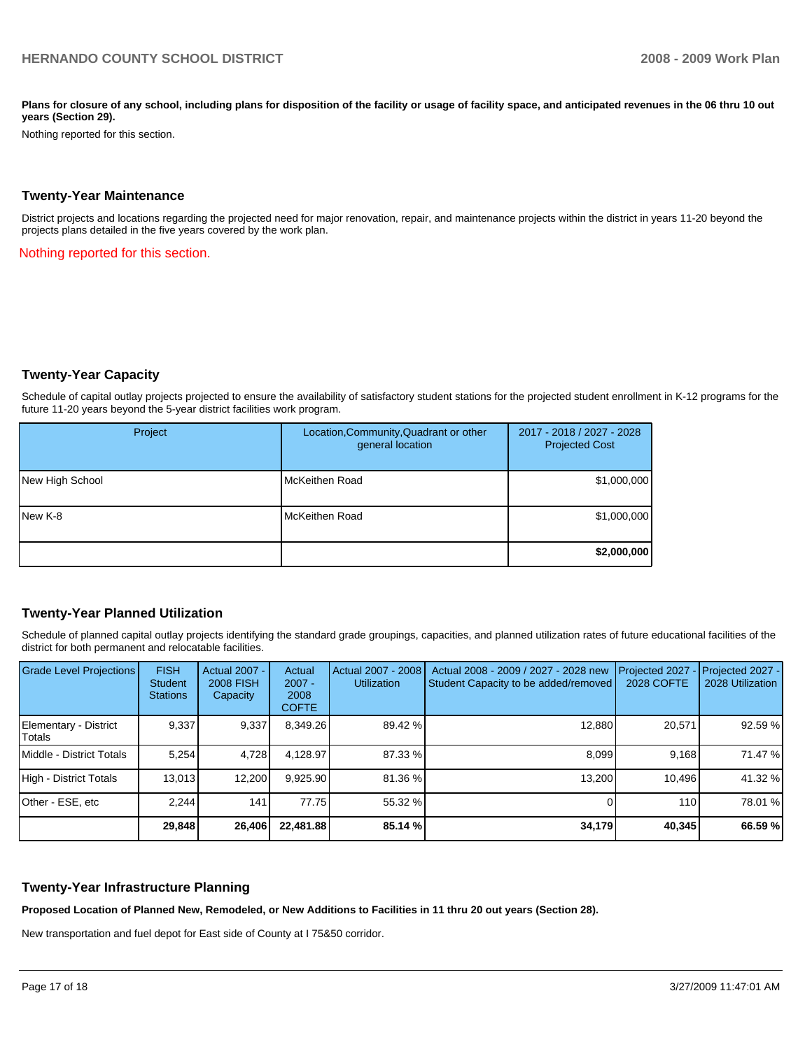Plans for closure of any school, including plans for disposition of the facility or usage of facility space, and anticipated revenues in the 06 thru 10 out **years (Section 29).** 

Nothing reported for this section.

#### **Twenty-Year Maintenance**

District projects and locations regarding the projected need for major renovation, repair, and maintenance projects within the district in years 11-20 beyond the projects plans detailed in the five years covered by the work plan.

Nothing reported for this section.

### **Twenty-Year Capacity**

Schedule of capital outlay projects projected to ensure the availability of satisfactory student stations for the projected student enrollment in K-12 programs for the future 11-20 years beyond the 5-year district facilities work program.

| Project         | Location, Community, Quadrant or other<br>general location | 2017 - 2018 / 2027 - 2028<br><b>Projected Cost</b> |
|-----------------|------------------------------------------------------------|----------------------------------------------------|
| New High School | McKeithen Road                                             | \$1,000,000                                        |
| New K-8         | McKeithen Road                                             | \$1,000,000                                        |
|                 |                                                            | \$2,000,000                                        |

### **Twenty-Year Planned Utilization**

Schedule of planned capital outlay projects identifying the standard grade groupings, capacities, and planned utilization rates of future educational facilities of the district for both permanent and relocatable facilities.

| <b>Grade Level Projections</b>   | <b>FISH</b><br><b>Student</b><br><b>Stations</b> | Actual 2007 -<br><b>2008 FISH</b><br>Capacity | Actual<br>$2007 -$<br>2008<br><b>COFTE</b> | Actual 2007 - 2008<br><b>Utilization</b> | Actual 2008 - 2009 / 2027 - 2028 new<br>Student Capacity to be added/removed | Projected 2027<br>2028 COFTE | Projected 2027 -<br>2028 Utilization |
|----------------------------------|--------------------------------------------------|-----------------------------------------------|--------------------------------------------|------------------------------------------|------------------------------------------------------------------------------|------------------------------|--------------------------------------|
| Elementary - District<br> Totals | 9,337                                            | 9,337                                         | 8,349.26                                   | 89.42 %                                  | 12.880                                                                       | 20,571                       | 92.59 %                              |
| Middle - District Totals         | 5.254                                            | 4,728                                         | 4.128.97                                   | 87.33 %                                  | 8.099                                                                        | 9.168                        | 71.47 %                              |
| High - District Totals           | 13,013                                           | 12,200                                        | 9,925.90                                   | 81.36 %                                  | 13,200                                                                       | 10.496                       | 41.32 %                              |
| Other - ESE, etc                 | 2.244                                            | 141                                           | 77.75                                      | 55.32 %                                  |                                                                              | 110                          | 78.01 %                              |
|                                  | 29,848                                           | 26,406                                        | 22,481.88                                  | 85.14 %                                  | 34,179                                                                       | 40,345                       | 66.59 %                              |

### **Twenty-Year Infrastructure Planning**

**Proposed Location of Planned New, Remodeled, or New Additions to Facilities in 11 thru 20 out years (Section 28).** 

New transportation and fuel depot for East side of County at I 75&50 corridor.